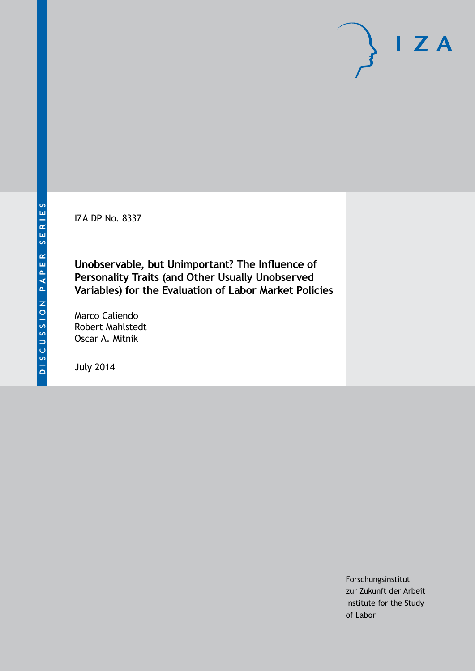IZA DP No. 8337

**Unobservable, but Unimportant? The Influence of Personality Traits (and Other Usually Unobserved Variables) for the Evaluation of Labor Market Policies**

Marco Caliendo Robert Mahlstedt Oscar A. Mitnik

July 2014

Forschungsinstitut zur Zukunft der Arbeit Institute for the Study of Labor

 $I Z A$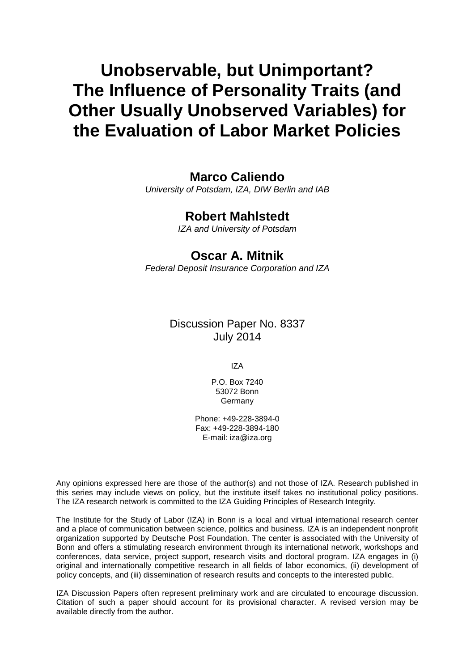# **Unobservable, but Unimportant? The Influence of Personality Traits (and Other Usually Unobserved Variables) for the Evaluation of Labor Market Policies**

## **Marco Caliendo**

*University of Potsdam, IZA, DIW Berlin and IAB*

## **Robert Mahlstedt**

*IZA and University of Potsdam*

## **Oscar A. Mitnik**

*Federal Deposit Insurance Corporation and IZA*

## Discussion Paper No. 8337 July 2014

IZA

P.O. Box 7240 53072 Bonn **Germany** 

Phone: +49-228-3894-0 Fax: +49-228-3894-180 E-mail: [iza@iza.org](mailto:iza@iza.org)

Any opinions expressed here are those of the author(s) and not those of IZA. Research published in this series may include views on policy, but the institute itself takes no institutional policy positions. The IZA research network is committed to the IZA Guiding Principles of Research Integrity.

The Institute for the Study of Labor (IZA) in Bonn is a local and virtual international research center and a place of communication between science, politics and business. IZA is an independent nonprofit organization supported by Deutsche Post Foundation. The center is associated with the University of Bonn and offers a stimulating research environment through its international network, workshops and conferences, data service, project support, research visits and doctoral program. IZA engages in (i) original and internationally competitive research in all fields of labor economics, (ii) development of policy concepts, and (iii) dissemination of research results and concepts to the interested public.

IZA Discussion Papers often represent preliminary work and are circulated to encourage discussion. Citation of such a paper should account for its provisional character. A revised version may be available directly from the author.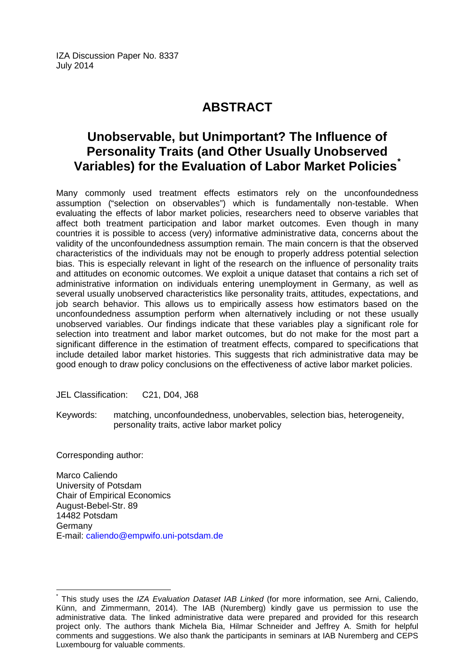IZA Discussion Paper No. 8337 July 2014

## **ABSTRACT**

## **Unobservable, but Unimportant? The Influence of Personality Traits (and Other Usually Unobserved Variables) for the Evaluation of Labor Market Policies[\\*](#page-2-0)**

Many commonly used treatment effects estimators rely on the unconfoundedness assumption ("selection on observables") which is fundamentally non-testable. When evaluating the effects of labor market policies, researchers need to observe variables that affect both treatment participation and labor market outcomes. Even though in many countries it is possible to access (very) informative administrative data, concerns about the validity of the unconfoundedness assumption remain. The main concern is that the observed characteristics of the individuals may not be enough to properly address potential selection bias. This is especially relevant in light of the research on the influence of personality traits and attitudes on economic outcomes. We exploit a unique dataset that contains a rich set of administrative information on individuals entering unemployment in Germany, as well as several usually unobserved characteristics like personality traits, attitudes, expectations, and job search behavior. This allows us to empirically assess how estimators based on the unconfoundedness assumption perform when alternatively including or not these usually unobserved variables. Our findings indicate that these variables play a significant role for selection into treatment and labor market outcomes, but do not make for the most part a significant difference in the estimation of treatment effects, compared to specifications that include detailed labor market histories. This suggests that rich administrative data may be good enough to draw policy conclusions on the effectiveness of active labor market policies.

JEL Classification: C21, D04, J68

Keywords: matching, unconfoundedness, unobervables, selection bias, heterogeneity, personality traits, active labor market policy

Corresponding author:

Marco Caliendo University of Potsdam Chair of Empirical Economics August-Bebel-Str. 89 14482 Potsdam Germany E-mail: [caliendo@empwifo.uni-potsdam.de](mailto:caliendo@empwifo.uni-potsdam.de)

<span id="page-2-0"></span>\* This study uses the *IZA Evaluation Dataset IAB Linked* (for more information, see Arni, Caliendo, Künn, and Zimmermann, 2014). The IAB (Nuremberg) kindly gave us permission to use the administrative data. The linked administrative data were prepared and provided for this research project only. The authors thank Michela Bia, Hilmar Schneider and Jeffrey A. Smith for helpful comments and suggestions. We also thank the participants in seminars at IAB Nuremberg and CEPS Luxembourg for valuable comments.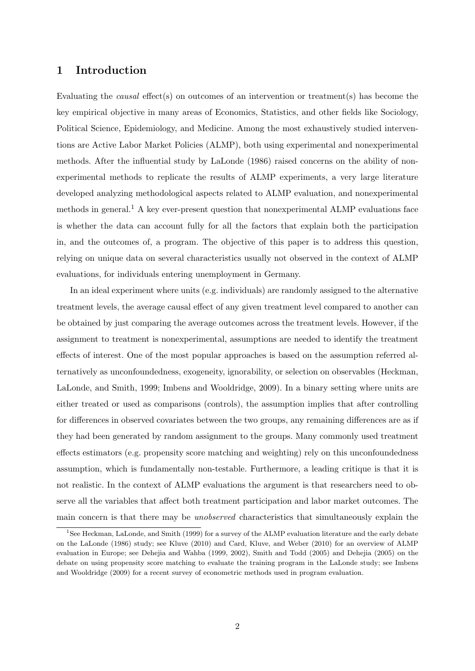### 1 Introduction

Evaluating the causal effect(s) on outcomes of an intervention or treatment(s) has become the key empirical objective in many areas of Economics, Statistics, and other fields like Sociology, Political Science, Epidemiology, and Medicine. Among the most exhaustively studied interventions are Active Labor Market Policies (ALMP), both using experimental and nonexperimental methods. After the influential study by LaLonde (1986) raised concerns on the ability of nonexperimental methods to replicate the results of ALMP experiments, a very large literature developed analyzing methodological aspects related to ALMP evaluation, and nonexperimental methods in general.<sup>1</sup> A key ever-present question that nonexperimental ALMP evaluations face is whether the data can account fully for all the factors that explain both the participation in, and the outcomes of, a program. The objective of this paper is to address this question, relying on unique data on several characteristics usually not observed in the context of ALMP evaluations, for individuals entering unemployment in Germany.

In an ideal experiment where units (e.g. individuals) are randomly assigned to the alternative treatment levels, the average causal effect of any given treatment level compared to another can be obtained by just comparing the average outcomes across the treatment levels. However, if the assignment to treatment is nonexperimental, assumptions are needed to identify the treatment effects of interest. One of the most popular approaches is based on the assumption referred alternatively as unconfoundedness, exogeneity, ignorability, or selection on observables (Heckman, LaLonde, and Smith, 1999; Imbens and Wooldridge, 2009). In a binary setting where units are either treated or used as comparisons (controls), the assumption implies that after controlling for differences in observed covariates between the two groups, any remaining differences are as if they had been generated by random assignment to the groups. Many commonly used treatment effects estimators (e.g. propensity score matching and weighting) rely on this unconfoundedness assumption, which is fundamentally non-testable. Furthermore, a leading critique is that it is not realistic. In the context of ALMP evaluations the argument is that researchers need to observe all the variables that affect both treatment participation and labor market outcomes. The main concern is that there may be unobserved characteristics that simultaneously explain the

<sup>&</sup>lt;sup>1</sup>See Heckman, LaLonde, and Smith (1999) for a survey of the ALMP evaluation literature and the early debate on the LaLonde (1986) study; see Kluve (2010) and Card, Kluve, and Weber (2010) for an overview of ALMP evaluation in Europe; see Dehejia and Wahba (1999, 2002), Smith and Todd (2005) and Dehejia (2005) on the debate on using propensity score matching to evaluate the training program in the LaLonde study; see Imbens and Wooldridge (2009) for a recent survey of econometric methods used in program evaluation.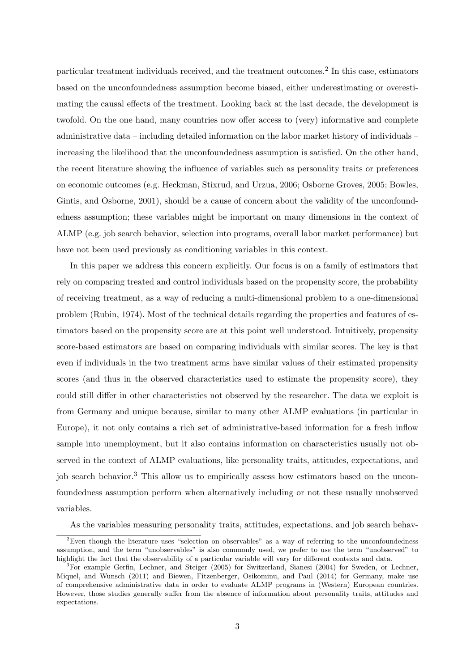particular treatment individuals received, and the treatment outcomes.<sup>2</sup> In this case, estimators based on the unconfoundedness assumption become biased, either underestimating or overestimating the causal effects of the treatment. Looking back at the last decade, the development is twofold. On the one hand, many countries now offer access to (very) informative and complete administrative data – including detailed information on the labor market history of individuals – increasing the likelihood that the unconfoundedness assumption is satisfied. On the other hand, the recent literature showing the influence of variables such as personality traits or preferences on economic outcomes (e.g. Heckman, Stixrud, and Urzua, 2006; Osborne Groves, 2005; Bowles, Gintis, and Osborne, 2001), should be a cause of concern about the validity of the unconfoundedness assumption; these variables might be important on many dimensions in the context of ALMP (e.g. job search behavior, selection into programs, overall labor market performance) but have not been used previously as conditioning variables in this context.

In this paper we address this concern explicitly. Our focus is on a family of estimators that rely on comparing treated and control individuals based on the propensity score, the probability of receiving treatment, as a way of reducing a multi-dimensional problem to a one-dimensional problem (Rubin, 1974). Most of the technical details regarding the properties and features of estimators based on the propensity score are at this point well understood. Intuitively, propensity score-based estimators are based on comparing individuals with similar scores. The key is that even if individuals in the two treatment arms have similar values of their estimated propensity scores (and thus in the observed characteristics used to estimate the propensity score), they could still differ in other characteristics not observed by the researcher. The data we exploit is from Germany and unique because, similar to many other ALMP evaluations (in particular in Europe), it not only contains a rich set of administrative-based information for a fresh inflow sample into unemployment, but it also contains information on characteristics usually not observed in the context of ALMP evaluations, like personality traits, attitudes, expectations, and job search behavior.<sup>3</sup> This allow us to empirically assess how estimators based on the unconfoundedness assumption perform when alternatively including or not these usually unobserved variables.

As the variables measuring personality traits, attitudes, expectations, and job search behav-

<sup>&</sup>lt;sup>2</sup>Even though the literature uses "selection on observables" as a way of referring to the unconfoundedness assumption, and the term "unobservables" is also commonly used, we prefer to use the term "unobserved" to highlight the fact that the observability of a particular variable will vary for different contexts and data.

<sup>&</sup>lt;sup>3</sup>For example Gerfin, Lechner, and Steiger (2005) for Switzerland, Sianesi (2004) for Sweden, or Lechner, Miquel, and Wunsch (2011) and Biewen, Fitzenberger, Osikominu, and Paul (2014) for Germany, make use of comprehensive administrative data in order to evaluate ALMP programs in (Western) European countries. However, those studies generally suffer from the absence of information about personality traits, attitudes and expectations.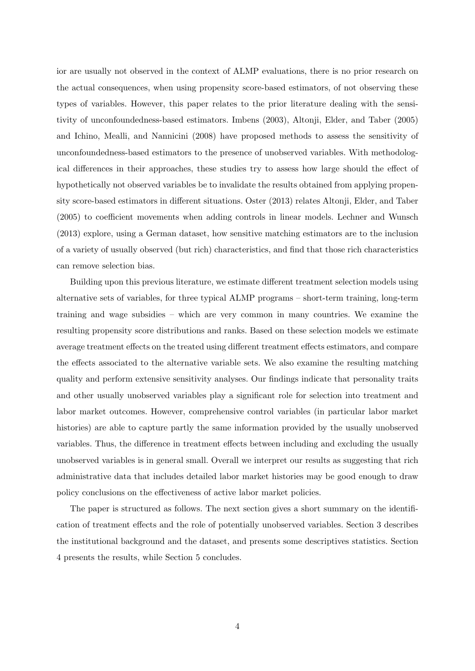ior are usually not observed in the context of ALMP evaluations, there is no prior research on the actual consequences, when using propensity score-based estimators, of not observing these types of variables. However, this paper relates to the prior literature dealing with the sensitivity of unconfoundedness-based estimators. Imbens (2003), Altonji, Elder, and Taber (2005) and Ichino, Mealli, and Nannicini (2008) have proposed methods to assess the sensitivity of unconfoundedness-based estimators to the presence of unobserved variables. With methodological differences in their approaches, these studies try to assess how large should the effect of hypothetically not observed variables be to invalidate the results obtained from applying propensity score-based estimators in different situations. Oster (2013) relates Altonji, Elder, and Taber (2005) to coefficient movements when adding controls in linear models. Lechner and Wunsch (2013) explore, using a German dataset, how sensitive matching estimators are to the inclusion of a variety of usually observed (but rich) characteristics, and find that those rich characteristics can remove selection bias.

Building upon this previous literature, we estimate different treatment selection models using alternative sets of variables, for three typical ALMP programs – short-term training, long-term training and wage subsidies – which are very common in many countries. We examine the resulting propensity score distributions and ranks. Based on these selection models we estimate average treatment effects on the treated using different treatment effects estimators, and compare the effects associated to the alternative variable sets. We also examine the resulting matching quality and perform extensive sensitivity analyses. Our findings indicate that personality traits and other usually unobserved variables play a significant role for selection into treatment and labor market outcomes. However, comprehensive control variables (in particular labor market histories) are able to capture partly the same information provided by the usually unobserved variables. Thus, the difference in treatment effects between including and excluding the usually unobserved variables is in general small. Overall we interpret our results as suggesting that rich administrative data that includes detailed labor market histories may be good enough to draw policy conclusions on the effectiveness of active labor market policies.

The paper is structured as follows. The next section gives a short summary on the identification of treatment effects and the role of potentially unobserved variables. Section 3 describes the institutional background and the dataset, and presents some descriptives statistics. Section 4 presents the results, while Section 5 concludes.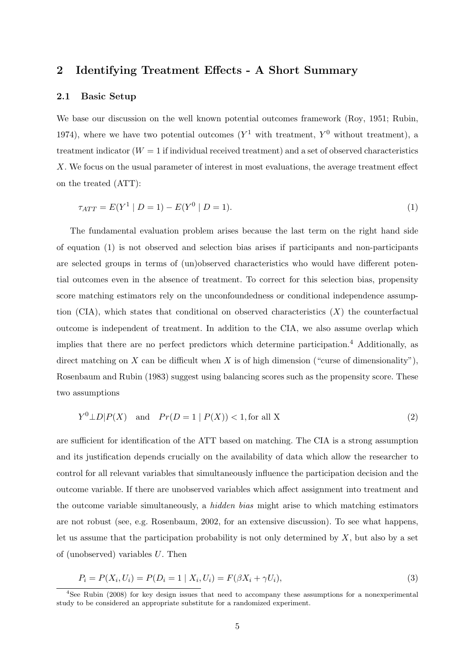### 2 Identifying Treatment Effects - A Short Summary

#### 2.1 Basic Setup

We base our discussion on the well known potential outcomes framework (Roy, 1951; Rubin, 1974), where we have two potential outcomes  $(Y^1$  with treatment,  $Y^0$  without treatment), a treatment indicator  $(W = 1$  if individual received treatment) and a set of observed characteristics X. We focus on the usual parameter of interest in most evaluations, the average treatment effect on the treated (ATT):

$$
\tau_{ATT} = E(Y^1 | D = 1) - E(Y^0 | D = 1). \tag{1}
$$

The fundamental evaluation problem arises because the last term on the right hand side of equation (1) is not observed and selection bias arises if participants and non-participants are selected groups in terms of (un)observed characteristics who would have different potential outcomes even in the absence of treatment. To correct for this selection bias, propensity score matching estimators rely on the unconfoundedness or conditional independence assumption (CIA), which states that conditional on observed characteristics  $(X)$  the counterfactual outcome is independent of treatment. In addition to the CIA, we also assume overlap which implies that there are no perfect predictors which determine participation.<sup>4</sup> Additionally, as direct matching on X can be difficult when X is of high dimension ("curse of dimensionality"), Rosenbaum and Rubin (1983) suggest using balancing scores such as the propensity score. These two assumptions

$$
Y^{0} \perp D | P(X) \quad \text{and} \quad Pr(D = 1 | P(X)) < 1, \text{for all } X \tag{2}
$$

are sufficient for identification of the ATT based on matching. The CIA is a strong assumption and its justification depends crucially on the availability of data which allow the researcher to control for all relevant variables that simultaneously influence the participation decision and the outcome variable. If there are unobserved variables which affect assignment into treatment and the outcome variable simultaneously, a hidden bias might arise to which matching estimators are not robust (see, e.g. Rosenbaum, 2002, for an extensive discussion). To see what happens, let us assume that the participation probability is not only determined by  $X$ , but also by a set of (unobserved) variables U. Then

$$
P_i = P(X_i, U_i) = P(D_i = 1 | X_i, U_i) = F(\beta X_i + \gamma U_i),
$$
\n(3)

<sup>4</sup>See Rubin (2008) for key design issues that need to accompany these assumptions for a nonexperimental study to be considered an appropriate substitute for a randomized experiment.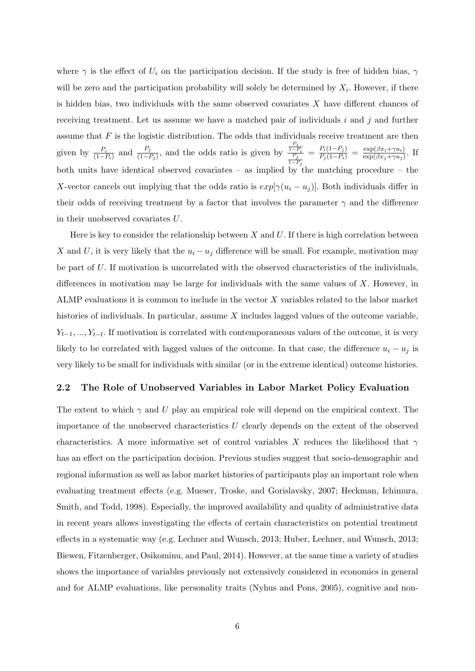where  $\gamma$  is the effect of  $U_i$  on the participation decision. If the study is free of hidden bias,  $\gamma$ will be zero and the participation probability will solely be determined by  $X_i$ . However, if there is hidden bias, two individuals with the same observed covariates  $X$  have different chances of receiving treatment. Let us assume we have a matched pair of individuals i and j and further assume that  $F$  is the logistic distribution. The odds that individuals receive treatment are then given by  $\frac{P_i}{(1-P_i)}$  and  $\frac{P_j}{(1-P_j)}$ , and the odds ratio is given by  $\frac{P_i}{1-P_i}$  $1-P_j$  $=\frac{P_i(1-P_j)}{P_j(1-P_i)}=\frac{\exp(\beta x_i+\gamma u_i)}{\exp(\beta x_j+\gamma u_j)}$  $\frac{\exp(\beta x_i + \gamma u_i)}{\exp(\beta x_j + \gamma u_j)}$ . If both units have identical observed covariates – as implied by the matching procedure – the X-vector cancels out implying that the odds ratio is  $exp[\gamma(u_i - u_j)]$ . Both individuals differ in their odds of receiving treatment by a factor that involves the parameter  $\gamma$  and the difference in their unobserved covariates U.

Here is key to consider the relationship between  $X$  and  $U$ . If there is high correlation between X and U, it is very likely that the  $u_i - u_j$  difference will be small. For example, motivation may be part of  $U$ . If motivation is uncorrelated with the observed characteristics of the individuals, differences in motivation may be large for individuals with the same values of  $X$ . However, in ALMP evaluations it is common to include in the vector X variables related to the labor market histories of individuals. In particular, assume X includes lagged values of the outcome variable,  $Y_{t-1},..., Y_{t-l}$ . If motivation is correlated with contemporaneous values of the outcome, it is very likely to be correlated with lagged values of the outcome. In that case, the difference  $u_i - u_j$  is very likely to be small for individuals with similar (or in the extreme identical) outcome histories.

#### 2.2 The Role of Unobserved Variables in Labor Market Policy Evaluation

The extent to which  $\gamma$  and U play an empirical role will depend on the empirical context. The importance of the unobserved characteristics U clearly depends on the extent of the observed characteristics. A more informative set of control variables X reduces the likelihood that  $\gamma$ has an effect on the participation decision. Previous studies suggest that socio-demographic and regional information as well as labor market histories of participants play an important role when evaluating treatment effects (e.g. Mueser, Troske, and Gorislavsky, 2007; Heckman, Ichimura, Smith, and Todd, 1998). Especially, the improved availability and quality of administrative data in recent years allows investigating the effects of certain characteristics on potential treatment effects in a systematic way (e.g. Lechner and Wunsch, 2013; Huber, Lechner, and Wunsch, 2013; Biewen, Fitzenberger, Osikominu, and Paul, 2014). However, at the same time a variety of studies shows the importance of variables previously not extensively considered in economics in general and for ALMP evaluations, like personality traits (Nyhus and Pons, 2005), cognitive and non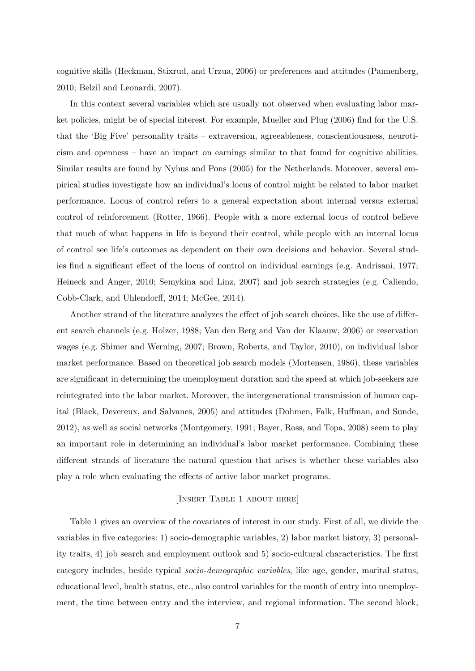cognitive skills (Heckman, Stixrud, and Urzua, 2006) or preferences and attitudes (Pannenberg, 2010; Belzil and Leonardi, 2007).

In this context several variables which are usually not observed when evaluating labor market policies, might be of special interest. For example, Mueller and Plug (2006) find for the U.S. that the 'Big Five' personality traits – extraversion, agreeableness, conscientiousness, neuroticism and openness – have an impact on earnings similar to that found for cognitive abilities. Similar results are found by Nyhus and Pons (2005) for the Netherlands. Moreover, several empirical studies investigate how an individual's locus of control might be related to labor market performance. Locus of control refers to a general expectation about internal versus external control of reinforcement (Rotter, 1966). People with a more external locus of control believe that much of what happens in life is beyond their control, while people with an internal locus of control see life's outcomes as dependent on their own decisions and behavior. Several studies find a significant effect of the locus of control on individual earnings (e.g. Andrisani, 1977; Heineck and Anger, 2010; Semykina and Linz, 2007) and job search strategies (e.g. Caliendo, Cobb-Clark, and Uhlendorff, 2014; McGee, 2014).

Another strand of the literature analyzes the effect of job search choices, like the use of different search channels (e.g. Holzer, 1988; Van den Berg and Van der Klaauw, 2006) or reservation wages (e.g. Shimer and Werning, 2007; Brown, Roberts, and Taylor, 2010), on individual labor market performance. Based on theoretical job search models (Mortensen, 1986), these variables are significant in determining the unemployment duration and the speed at which job-seekers are reintegrated into the labor market. Moreover, the intergenerational transmission of human capital (Black, Devereux, and Salvanes, 2005) and attitudes (Dohmen, Falk, Huffman, and Sunde, 2012), as well as social networks (Montgomery, 1991; Bayer, Ross, and Topa, 2008) seem to play an important role in determining an individual's labor market performance. Combining these different strands of literature the natural question that arises is whether these variables also play a role when evaluating the effects of active labor market programs.

### [INSERT TABLE 1 ABOUT HERE]

Table 1 gives an overview of the covariates of interest in our study. First of all, we divide the variables in five categories: 1) socio-demographic variables, 2) labor market history, 3) personality traits, 4) job search and employment outlook and 5) socio-cultural characteristics. The first category includes, beside typical socio-demographic variables, like age, gender, marital status, educational level, health status, etc., also control variables for the month of entry into unemployment, the time between entry and the interview, and regional information. The second block,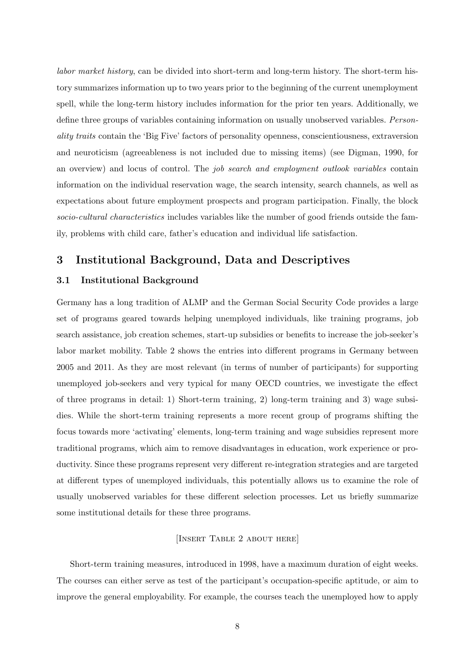labor market history, can be divided into short-term and long-term history. The short-term history summarizes information up to two years prior to the beginning of the current unemployment spell, while the long-term history includes information for the prior ten years. Additionally, we define three groups of variables containing information on usually unobserved variables. Personality traits contain the 'Big Five' factors of personality openness, conscientiousness, extraversion and neuroticism (agreeableness is not included due to missing items) (see Digman, 1990, for an overview) and locus of control. The *job search and employment outlook variables* contain information on the individual reservation wage, the search intensity, search channels, as well as expectations about future employment prospects and program participation. Finally, the block socio-cultural characteristics includes variables like the number of good friends outside the family, problems with child care, father's education and individual life satisfaction.

## 3 Institutional Background, Data and Descriptives

#### 3.1 Institutional Background

Germany has a long tradition of ALMP and the German Social Security Code provides a large set of programs geared towards helping unemployed individuals, like training programs, job search assistance, job creation schemes, start-up subsidies or benefits to increase the job-seeker's labor market mobility. Table 2 shows the entries into different programs in Germany between 2005 and 2011. As they are most relevant (in terms of number of participants) for supporting unemployed job-seekers and very typical for many OECD countries, we investigate the effect of three programs in detail: 1) Short-term training, 2) long-term training and 3) wage subsidies. While the short-term training represents a more recent group of programs shifting the focus towards more 'activating' elements, long-term training and wage subsidies represent more traditional programs, which aim to remove disadvantages in education, work experience or productivity. Since these programs represent very different re-integration strategies and are targeted at different types of unemployed individuals, this potentially allows us to examine the role of usually unobserved variables for these different selection processes. Let us briefly summarize some institutional details for these three programs.

#### [Insert Table 2 about here]

Short-term training measures, introduced in 1998, have a maximum duration of eight weeks. The courses can either serve as test of the participant's occupation-specific aptitude, or aim to improve the general employability. For example, the courses teach the unemployed how to apply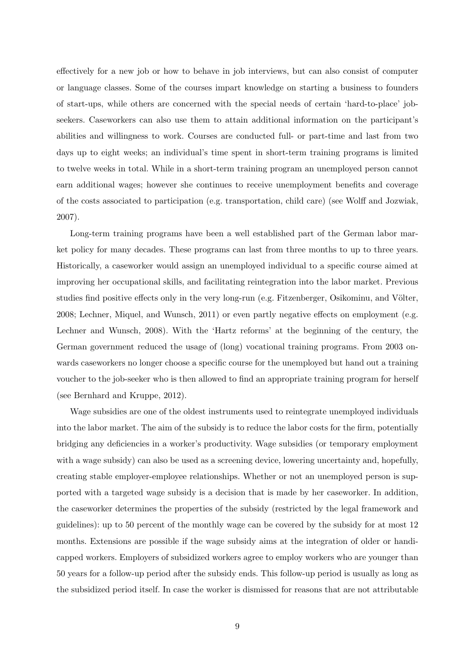effectively for a new job or how to behave in job interviews, but can also consist of computer or language classes. Some of the courses impart knowledge on starting a business to founders of start-ups, while others are concerned with the special needs of certain 'hard-to-place' jobseekers. Caseworkers can also use them to attain additional information on the participant's abilities and willingness to work. Courses are conducted full- or part-time and last from two days up to eight weeks; an individual's time spent in short-term training programs is limited to twelve weeks in total. While in a short-term training program an unemployed person cannot earn additional wages; however she continues to receive unemployment benefits and coverage of the costs associated to participation (e.g. transportation, child care) (see Wolff and Jozwiak, 2007).

Long-term training programs have been a well established part of the German labor market policy for many decades. These programs can last from three months to up to three years. Historically, a caseworker would assign an unemployed individual to a specific course aimed at improving her occupational skills, and facilitating reintegration into the labor market. Previous studies find positive effects only in the very long-run (e.g. Fitzenberger, Osikominu, and Völter, 2008; Lechner, Miquel, and Wunsch, 2011) or even partly negative effects on employment (e.g. Lechner and Wunsch, 2008). With the 'Hartz reforms' at the beginning of the century, the German government reduced the usage of (long) vocational training programs. From 2003 onwards caseworkers no longer choose a specific course for the unemployed but hand out a training voucher to the job-seeker who is then allowed to find an appropriate training program for herself (see Bernhard and Kruppe, 2012).

Wage subsidies are one of the oldest instruments used to reintegrate unemployed individuals into the labor market. The aim of the subsidy is to reduce the labor costs for the firm, potentially bridging any deficiencies in a worker's productivity. Wage subsidies (or temporary employment with a wage subsidy) can also be used as a screening device, lowering uncertainty and, hopefully, creating stable employer-employee relationships. Whether or not an unemployed person is supported with a targeted wage subsidy is a decision that is made by her caseworker. In addition, the caseworker determines the properties of the subsidy (restricted by the legal framework and guidelines): up to 50 percent of the monthly wage can be covered by the subsidy for at most 12 months. Extensions are possible if the wage subsidy aims at the integration of older or handicapped workers. Employers of subsidized workers agree to employ workers who are younger than 50 years for a follow-up period after the subsidy ends. This follow-up period is usually as long as the subsidized period itself. In case the worker is dismissed for reasons that are not attributable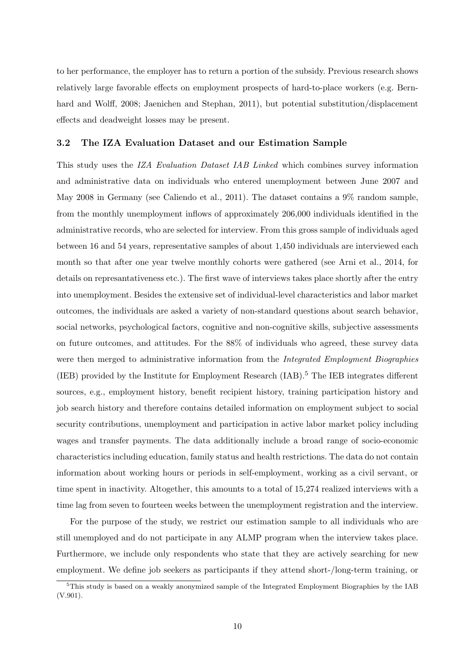to her performance, the employer has to return a portion of the subsidy. Previous research shows relatively large favorable effects on employment prospects of hard-to-place workers (e.g. Bernhard and Wolff, 2008; Jaenichen and Stephan, 2011), but potential substitution/displacement effects and deadweight losses may be present.

#### 3.2 The IZA Evaluation Dataset and our Estimation Sample

This study uses the IZA Evaluation Dataset IAB Linked which combines survey information and administrative data on individuals who entered unemployment between June 2007 and May 2008 in Germany (see Caliendo et al., 2011). The dataset contains a 9% random sample, from the monthly unemployment inflows of approximately 206,000 individuals identified in the administrative records, who are selected for interview. From this gross sample of individuals aged between 16 and 54 years, representative samples of about 1,450 individuals are interviewed each month so that after one year twelve monthly cohorts were gathered (see Arni et al., 2014, for details on represantativeness etc.). The first wave of interviews takes place shortly after the entry into unemployment. Besides the extensive set of individual-level characteristics and labor market outcomes, the individuals are asked a variety of non-standard questions about search behavior, social networks, psychological factors, cognitive and non-cognitive skills, subjective assessments on future outcomes, and attitudes. For the 88% of individuals who agreed, these survey data were then merged to administrative information from the *Integrated Employment Biographies*  $(IEB)$  provided by the Institute for Employment Research  $(IAB)$ .<sup>5</sup> The IEB integrates different sources, e.g., employment history, benefit recipient history, training participation history and job search history and therefore contains detailed information on employment subject to social security contributions, unemployment and participation in active labor market policy including wages and transfer payments. The data additionally include a broad range of socio-economic characteristics including education, family status and health restrictions. The data do not contain information about working hours or periods in self-employment, working as a civil servant, or time spent in inactivity. Altogether, this amounts to a total of 15,274 realized interviews with a time lag from seven to fourteen weeks between the unemployment registration and the interview.

For the purpose of the study, we restrict our estimation sample to all individuals who are still unemployed and do not participate in any ALMP program when the interview takes place. Furthermore, we include only respondents who state that they are actively searching for new employment. We define job seekers as participants if they attend short-/long-term training, or

 $5$ This study is based on a weakly anonymized sample of the Integrated Employment Biographies by the IAB (V.901).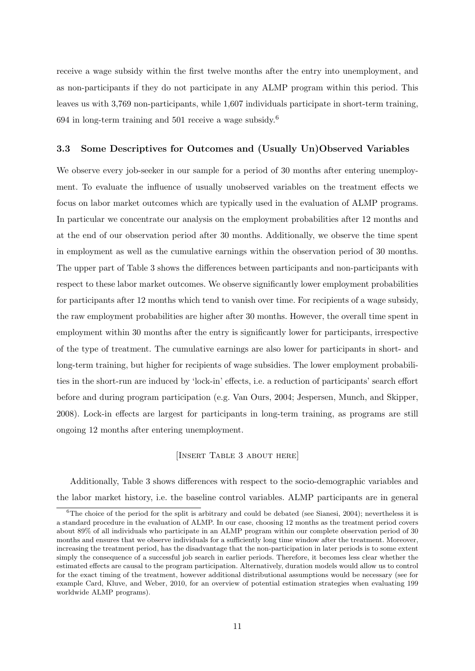receive a wage subsidy within the first twelve months after the entry into unemployment, and as non-participants if they do not participate in any ALMP program within this period. This leaves us with 3,769 non-participants, while 1,607 individuals participate in short-term training, 694 in long-term training and 501 receive a wage subsidy.<sup>6</sup>

#### 3.3 Some Descriptives for Outcomes and (Usually Un)Observed Variables

We observe every job-seeker in our sample for a period of 30 months after entering unemployment. To evaluate the influence of usually unobserved variables on the treatment effects we focus on labor market outcomes which are typically used in the evaluation of ALMP programs. In particular we concentrate our analysis on the employment probabilities after 12 months and at the end of our observation period after 30 months. Additionally, we observe the time spent in employment as well as the cumulative earnings within the observation period of 30 months. The upper part of Table 3 shows the differences between participants and non-participants with respect to these labor market outcomes. We observe significantly lower employment probabilities for participants after 12 months which tend to vanish over time. For recipients of a wage subsidy, the raw employment probabilities are higher after 30 months. However, the overall time spent in employment within 30 months after the entry is significantly lower for participants, irrespective of the type of treatment. The cumulative earnings are also lower for participants in short- and long-term training, but higher for recipients of wage subsidies. The lower employment probabilities in the short-run are induced by 'lock-in' effects, i.e. a reduction of participants' search effort before and during program participation (e.g. Van Ours, 2004; Jespersen, Munch, and Skipper, 2008). Lock-in effects are largest for participants in long-term training, as programs are still ongoing 12 months after entering unemployment.

#### [Insert Table 3 about here]

Additionally, Table 3 shows differences with respect to the socio-demographic variables and the labor market history, i.e. the baseline control variables. ALMP participants are in general

 ${}^{6}$ The choice of the period for the split is arbitrary and could be debated (see Sianesi, 2004); nevertheless it is a standard procedure in the evaluation of ALMP. In our case, choosing 12 months as the treatment period covers about 89% of all individuals who participate in an ALMP program within our complete observation period of 30 months and ensures that we observe individuals for a sufficiently long time window after the treatment. Moreover, increasing the treatment period, has the disadvantage that the non-participation in later periods is to some extent simply the consequence of a successful job search in earlier periods. Therefore, it becomes less clear whether the estimated effects are causal to the program participation. Alternatively, duration models would allow us to control for the exact timing of the treatment, however additional distributional assumptions would be necessary (see for example Card, Kluve, and Weber, 2010, for an overview of potential estimation strategies when evaluating 199 worldwide ALMP programs).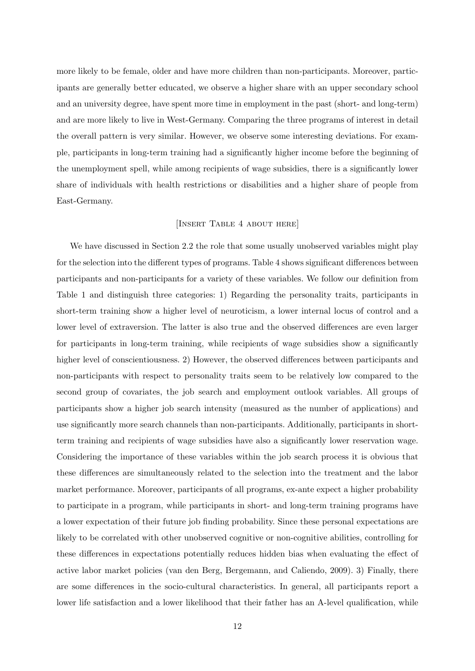more likely to be female, older and have more children than non-participants. Moreover, participants are generally better educated, we observe a higher share with an upper secondary school and an university degree, have spent more time in employment in the past (short- and long-term) and are more likely to live in West-Germany. Comparing the three programs of interest in detail the overall pattern is very similar. However, we observe some interesting deviations. For example, participants in long-term training had a significantly higher income before the beginning of the unemployment spell, while among recipients of wage subsidies, there is a significantly lower share of individuals with health restrictions or disabilities and a higher share of people from East-Germany.

#### [Insert Table 4 about here]

We have discussed in Section 2.2 the role that some usually unobserved variables might play for the selection into the different types of programs. Table 4 shows significant differences between participants and non-participants for a variety of these variables. We follow our definition from Table 1 and distinguish three categories: 1) Regarding the personality traits, participants in short-term training show a higher level of neuroticism, a lower internal locus of control and a lower level of extraversion. The latter is also true and the observed differences are even larger for participants in long-term training, while recipients of wage subsidies show a significantly higher level of conscientiousness. 2) However, the observed differences between participants and non-participants with respect to personality traits seem to be relatively low compared to the second group of covariates, the job search and employment outlook variables. All groups of participants show a higher job search intensity (measured as the number of applications) and use significantly more search channels than non-participants. Additionally, participants in shortterm training and recipients of wage subsidies have also a significantly lower reservation wage. Considering the importance of these variables within the job search process it is obvious that these differences are simultaneously related to the selection into the treatment and the labor market performance. Moreover, participants of all programs, ex-ante expect a higher probability to participate in a program, while participants in short- and long-term training programs have a lower expectation of their future job finding probability. Since these personal expectations are likely to be correlated with other unobserved cognitive or non-cognitive abilities, controlling for these differences in expectations potentially reduces hidden bias when evaluating the effect of active labor market policies (van den Berg, Bergemann, and Caliendo, 2009). 3) Finally, there are some differences in the socio-cultural characteristics. In general, all participants report a lower life satisfaction and a lower likelihood that their father has an A-level qualification, while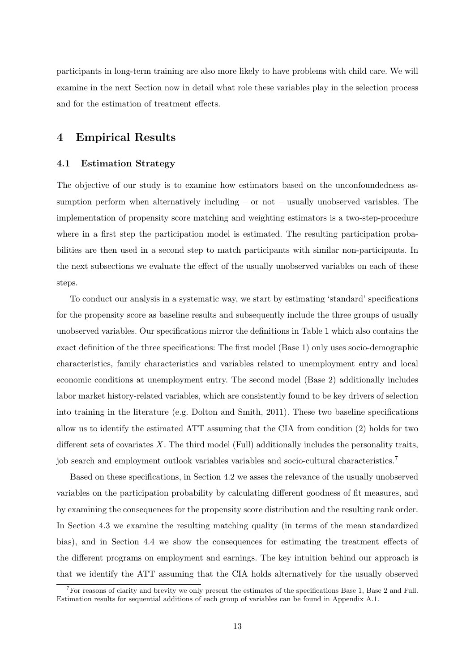participants in long-term training are also more likely to have problems with child care. We will examine in the next Section now in detail what role these variables play in the selection process and for the estimation of treatment effects.

### 4 Empirical Results

#### 4.1 Estimation Strategy

The objective of our study is to examine how estimators based on the unconfoundedness assumption perform when alternatively including – or not – usually unobserved variables. The implementation of propensity score matching and weighting estimators is a two-step-procedure where in a first step the participation model is estimated. The resulting participation probabilities are then used in a second step to match participants with similar non-participants. In the next subsections we evaluate the effect of the usually unobserved variables on each of these steps.

To conduct our analysis in a systematic way, we start by estimating 'standard' specifications for the propensity score as baseline results and subsequently include the three groups of usually unobserved variables. Our specifications mirror the definitions in Table 1 which also contains the exact definition of the three specifications: The first model (Base 1) only uses socio-demographic characteristics, family characteristics and variables related to unemployment entry and local economic conditions at unemployment entry. The second model (Base 2) additionally includes labor market history-related variables, which are consistently found to be key drivers of selection into training in the literature (e.g. Dolton and Smith, 2011). These two baseline specifications allow us to identify the estimated ATT assuming that the CIA from condition (2) holds for two different sets of covariates  $X$ . The third model (Full) additionally includes the personality traits, job search and employment outlook variables variables and socio-cultural characteristics.<sup>7</sup>

Based on these specifications, in Section 4.2 we asses the relevance of the usually unobserved variables on the participation probability by calculating different goodness of fit measures, and by examining the consequences for the propensity score distribution and the resulting rank order. In Section 4.3 we examine the resulting matching quality (in terms of the mean standardized bias), and in Section 4.4 we show the consequences for estimating the treatment effects of the different programs on employment and earnings. The key intuition behind our approach is that we identify the ATT assuming that the CIA holds alternatively for the usually observed

<sup>7</sup>For reasons of clarity and brevity we only present the estimates of the specifications Base 1, Base 2 and Full. Estimation results for sequential additions of each group of variables can be found in Appendix A.1.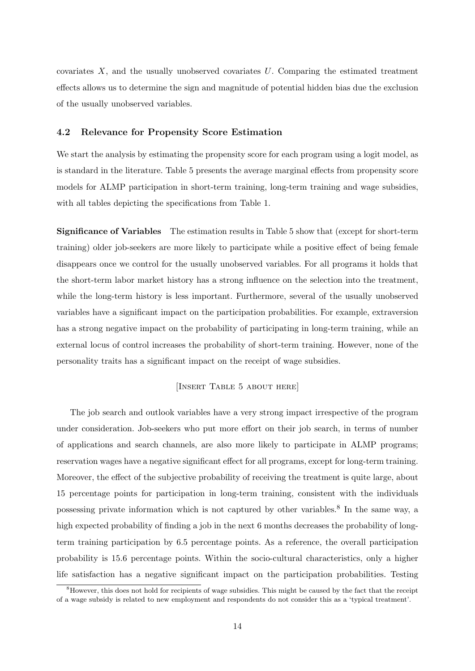covariates  $X$ , and the usually unobserved covariates  $U$ . Comparing the estimated treatment effects allows us to determine the sign and magnitude of potential hidden bias due the exclusion of the usually unobserved variables.

#### 4.2 Relevance for Propensity Score Estimation

We start the analysis by estimating the propensity score for each program using a logit model, as is standard in the literature. Table 5 presents the average marginal effects from propensity score models for ALMP participation in short-term training, long-term training and wage subsidies, with all tables depicting the specifications from Table 1.

Significance of Variables The estimation results in Table 5 show that (except for short-term training) older job-seekers are more likely to participate while a positive effect of being female disappears once we control for the usually unobserved variables. For all programs it holds that the short-term labor market history has a strong influence on the selection into the treatment, while the long-term history is less important. Furthermore, several of the usually unobserved variables have a significant impact on the participation probabilities. For example, extraversion has a strong negative impact on the probability of participating in long-term training, while an external locus of control increases the probability of short-term training. However, none of the personality traits has a significant impact on the receipt of wage subsidies.

#### [Insert Table 5 about here]

The job search and outlook variables have a very strong impact irrespective of the program under consideration. Job-seekers who put more effort on their job search, in terms of number of applications and search channels, are also more likely to participate in ALMP programs; reservation wages have a negative significant effect for all programs, except for long-term training. Moreover, the effect of the subjective probability of receiving the treatment is quite large, about 15 percentage points for participation in long-term training, consistent with the individuals possessing private information which is not captured by other variables.<sup>8</sup> In the same way, a high expected probability of finding a job in the next 6 months decreases the probability of longterm training participation by 6.5 percentage points. As a reference, the overall participation probability is 15.6 percentage points. Within the socio-cultural characteristics, only a higher life satisfaction has a negative significant impact on the participation probabilities. Testing

<sup>&</sup>lt;sup>8</sup>However, this does not hold for recipients of wage subsidies. This might be caused by the fact that the receipt of a wage subsidy is related to new employment and respondents do not consider this as a 'typical treatment'.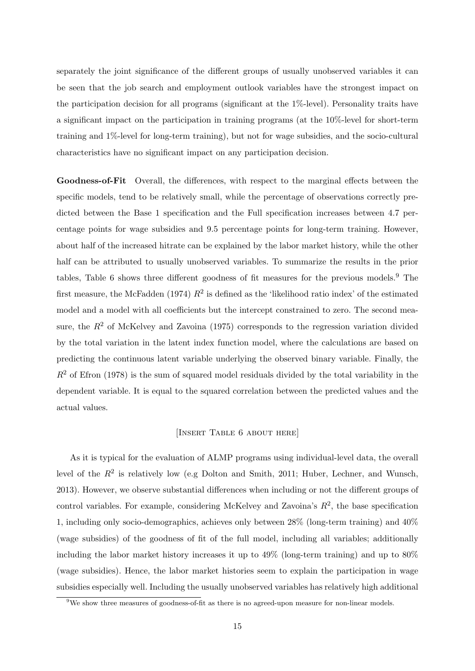separately the joint significance of the different groups of usually unobserved variables it can be seen that the job search and employment outlook variables have the strongest impact on the participation decision for all programs (significant at the 1%-level). Personality traits have a significant impact on the participation in training programs (at the 10%-level for short-term training and 1%-level for long-term training), but not for wage subsidies, and the socio-cultural characteristics have no significant impact on any participation decision.

Goodness-of-Fit Overall, the differences, with respect to the marginal effects between the specific models, tend to be relatively small, while the percentage of observations correctly predicted between the Base 1 specification and the Full specification increases between 4.7 percentage points for wage subsidies and 9.5 percentage points for long-term training. However, about half of the increased hitrate can be explained by the labor market history, while the other half can be attributed to usually unobserved variables. To summarize the results in the prior tables, Table 6 shows three different goodness of fit measures for the previous models.<sup>9</sup> The first measure, the McFadden (1974)  $R^2$  is defined as the 'likelihood ratio index' of the estimated model and a model with all coefficients but the intercept constrained to zero. The second measure, the  $R<sup>2</sup>$  of McKelvey and Zavoina (1975) corresponds to the regression variation divided by the total variation in the latent index function model, where the calculations are based on predicting the continuous latent variable underlying the observed binary variable. Finally, the  $R<sup>2</sup>$  of Efron (1978) is the sum of squared model residuals divided by the total variability in the dependent variable. It is equal to the squared correlation between the predicted values and the actual values.

#### [Insert Table 6 about here]

As it is typical for the evaluation of ALMP programs using individual-level data, the overall level of the  $R^2$  is relatively low (e.g Dolton and Smith, 2011; Huber, Lechner, and Wunsch, 2013). However, we observe substantial differences when including or not the different groups of control variables. For example, considering McKelvey and Zavoina's  $R^2$ , the base specification 1, including only socio-demographics, achieves only between 28% (long-term training) and 40% (wage subsidies) of the goodness of fit of the full model, including all variables; additionally including the labor market history increases it up to 49% (long-term training) and up to 80% (wage subsidies). Hence, the labor market histories seem to explain the participation in wage subsidies especially well. Including the usually unobserved variables has relatively high additional

<sup>&</sup>lt;sup>9</sup>We show three measures of goodness-of-fit as there is no agreed-upon measure for non-linear models.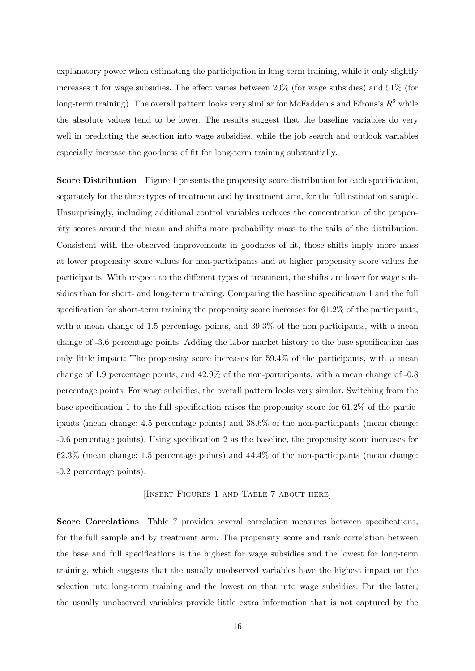explanatory power when estimating the participation in long-term training, while it only slightly increases it for wage subsidies. The effect varies between 20% (for wage subsidies) and 51% (for long-term training). The overall pattern looks very similar for McFadden's and Efrons's  $R^2$  while the absolute values tend to be lower. The results suggest that the baseline variables do very well in predicting the selection into wage subsidies, while the job search and outlook variables especially increase the goodness of fit for long-term training substantially.

Score Distribution Figure 1 presents the propensity score distribution for each specification, separately for the three types of treatment and by treatment arm, for the full estimation sample. Unsurprisingly, including additional control variables reduces the concentration of the propensity scores around the mean and shifts more probability mass to the tails of the distribution. Consistent with the observed improvements in goodness of fit, those shifts imply more mass at lower propensity score values for non-participants and at higher propensity score values for participants. With respect to the different types of treatment, the shifts are lower for wage subsidies than for short- and long-term training. Comparing the baseline specification 1 and the full specification for short-term training the propensity score increases for 61.2% of the participants, with a mean change of 1.5 percentage points, and  $39.3\%$  of the non-participants, with a mean change of -3.6 percentage points. Adding the labor market history to the base specification has only little impact: The propensity score increases for 59.4% of the participants, with a mean change of 1.9 percentage points, and 42.9% of the non-participants, with a mean change of -0.8 percentage points. For wage subsidies, the overall pattern looks very similar. Switching from the base specification 1 to the full specification raises the propensity score for 61.2% of the participants (mean change: 4.5 percentage points) and 38.6% of the non-participants (mean change: -0.6 percentage points). Using specification 2 as the baseline, the propensity score increases for 62.3% (mean change: 1.5 percentage points) and 44.4% of the non-participants (mean change: -0.2 percentage points).

#### [Insert Figures 1 and Table 7 about here]

Score Correlations Table 7 provides several correlation measures between specifications, for the full sample and by treatment arm. The propensity score and rank correlation between the base and full specifications is the highest for wage subsidies and the lowest for long-term training, which suggests that the usually unobserved variables have the highest impact on the selection into long-term training and the lowest on that into wage subsidies. For the latter, the usually unobserved variables provide little extra information that is not captured by the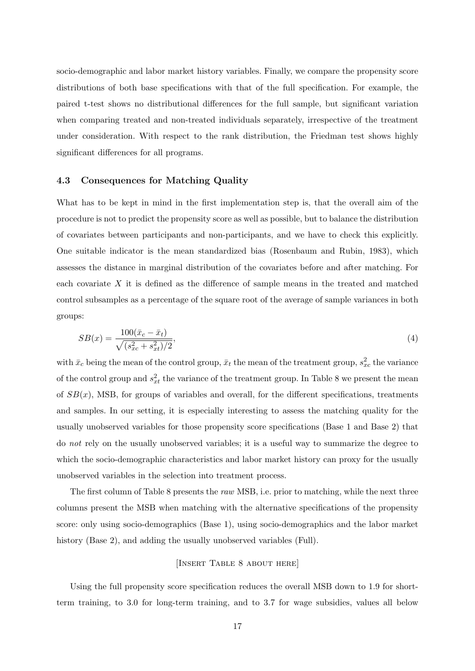socio-demographic and labor market history variables. Finally, we compare the propensity score distributions of both base specifications with that of the full specification. For example, the paired t-test shows no distributional differences for the full sample, but significant variation when comparing treated and non-treated individuals separately, irrespective of the treatment under consideration. With respect to the rank distribution, the Friedman test shows highly significant differences for all programs.

#### 4.3 Consequences for Matching Quality

What has to be kept in mind in the first implementation step is, that the overall aim of the procedure is not to predict the propensity score as well as possible, but to balance the distribution of covariates between participants and non-participants, and we have to check this explicitly. One suitable indicator is the mean standardized bias (Rosenbaum and Rubin, 1983), which assesses the distance in marginal distribution of the covariates before and after matching. For each covariate  $X$  it is defined as the difference of sample means in the treated and matched control subsamples as a percentage of the square root of the average of sample variances in both groups:

$$
SB(x) = \frac{100(\bar{x}_c - \bar{x}_t)}{\sqrt{(s_{xc}^2 + s_{xt}^2)/2}},\tag{4}
$$

with  $\bar{x}_c$  being the mean of the control group,  $\bar{x}_t$  the mean of the treatment group,  $s_{xc}^2$  the variance of the control group and  $s_{xt}^2$  the variance of the treatment group. In Table 8 we present the mean of  $SB(x)$ , MSB, for groups of variables and overall, for the different specifications, treatments and samples. In our setting, it is especially interesting to assess the matching quality for the usually unobserved variables for those propensity score specifications (Base 1 and Base 2) that do not rely on the usually unobserved variables; it is a useful way to summarize the degree to which the socio-demographic characteristics and labor market history can proxy for the usually unobserved variables in the selection into treatment process.

The first column of Table 8 presents the raw MSB, i.e. prior to matching, while the next three columns present the MSB when matching with the alternative specifications of the propensity score: only using socio-demographics (Base 1), using socio-demographics and the labor market history (Base 2), and adding the usually unobserved variables (Full).

#### [Insert Table 8 about here]

Using the full propensity score specification reduces the overall MSB down to 1.9 for shortterm training, to 3.0 for long-term training, and to 3.7 for wage subsidies, values all below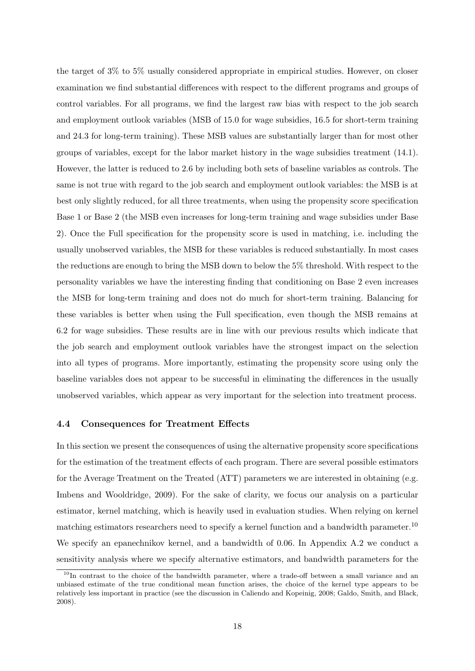the target of 3% to 5% usually considered appropriate in empirical studies. However, on closer examination we find substantial differences with respect to the different programs and groups of control variables. For all programs, we find the largest raw bias with respect to the job search and employment outlook variables (MSB of 15.0 for wage subsidies, 16.5 for short-term training and 24.3 for long-term training). These MSB values are substantially larger than for most other groups of variables, except for the labor market history in the wage subsidies treatment (14.1). However, the latter is reduced to 2.6 by including both sets of baseline variables as controls. The same is not true with regard to the job search and employment outlook variables: the MSB is at best only slightly reduced, for all three treatments, when using the propensity score specification Base 1 or Base 2 (the MSB even increases for long-term training and wage subsidies under Base 2). Once the Full specification for the propensity score is used in matching, i.e. including the usually unobserved variables, the MSB for these variables is reduced substantially. In most cases the reductions are enough to bring the MSB down to below the 5% threshold. With respect to the personality variables we have the interesting finding that conditioning on Base 2 even increases the MSB for long-term training and does not do much for short-term training. Balancing for these variables is better when using the Full specification, even though the MSB remains at 6.2 for wage subsidies. These results are in line with our previous results which indicate that the job search and employment outlook variables have the strongest impact on the selection into all types of programs. More importantly, estimating the propensity score using only the baseline variables does not appear to be successful in eliminating the differences in the usually unobserved variables, which appear as very important for the selection into treatment process.

#### 4.4 Consequences for Treatment Effects

In this section we present the consequences of using the alternative propensity score specifications for the estimation of the treatment effects of each program. There are several possible estimators for the Average Treatment on the Treated (ATT) parameters we are interested in obtaining (e.g. Imbens and Wooldridge, 2009). For the sake of clarity, we focus our analysis on a particular estimator, kernel matching, which is heavily used in evaluation studies. When relying on kernel matching estimators researchers need to specify a kernel function and a bandwidth parameter.<sup>10</sup> We specify an epanechnikov kernel, and a bandwidth of 0.06. In Appendix A.2 we conduct a sensitivity analysis where we specify alternative estimators, and bandwidth parameters for the

<sup>&</sup>lt;sup>10</sup>In contrast to the choice of the bandwidth parameter, where a trade-off between a small variance and an unbiased estimate of the true conditional mean function arises, the choice of the kernel type appears to be relatively less important in practice (see the discussion in Caliendo and Kopeinig, 2008; Galdo, Smith, and Black, 2008).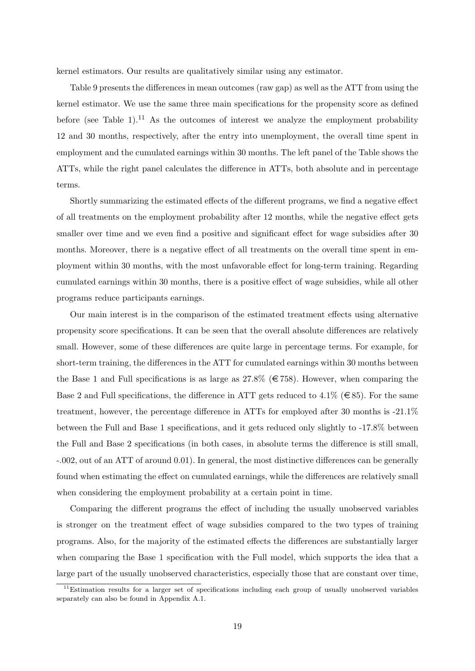kernel estimators. Our results are qualitatively similar using any estimator.

Table 9 presents the differences in mean outcomes (raw gap) as well as the ATT from using the kernel estimator. We use the same three main specifications for the propensity score as defined before (see Table 1).<sup>11</sup> As the outcomes of interest we analyze the employment probability 12 and 30 months, respectively, after the entry into unemployment, the overall time spent in employment and the cumulated earnings within 30 months. The left panel of the Table shows the ATTs, while the right panel calculates the difference in ATTs, both absolute and in percentage terms.

Shortly summarizing the estimated effects of the different programs, we find a negative effect of all treatments on the employment probability after 12 months, while the negative effect gets smaller over time and we even find a positive and significant effect for wage subsidies after 30 months. Moreover, there is a negative effect of all treatments on the overall time spent in employment within 30 months, with the most unfavorable effect for long-term training. Regarding cumulated earnings within 30 months, there is a positive effect of wage subsidies, while all other programs reduce participants earnings.

Our main interest is in the comparison of the estimated treatment effects using alternative propensity score specifications. It can be seen that the overall absolute differences are relatively small. However, some of these differences are quite large in percentage terms. For example, for short-term training, the differences in the ATT for cumulated earnings within 30 months between the Base 1 and Full specifications is as large as  $27.8\%$  ( $\in 758$ ). However, when comparing the Base 2 and Full specifications, the difference in ATT gets reduced to 4.1% ( $\in$ 85). For the same treatment, however, the percentage difference in ATTs for employed after 30 months is -21.1% between the Full and Base 1 specifications, and it gets reduced only slightly to -17.8% between the Full and Base 2 specifications (in both cases, in absolute terms the difference is still small, -.002, out of an ATT of around 0.01). In general, the most distinctive differences can be generally found when estimating the effect on cumulated earnings, while the differences are relatively small when considering the employment probability at a certain point in time.

Comparing the different programs the effect of including the usually unobserved variables is stronger on the treatment effect of wage subsidies compared to the two types of training programs. Also, for the majority of the estimated effects the differences are substantially larger when comparing the Base 1 specification with the Full model, which supports the idea that a large part of the usually unobserved characteristics, especially those that are constant over time,

 $11$ Estimation results for a larger set of specifications including each group of usually unobserved variables separately can also be found in Appendix A.1.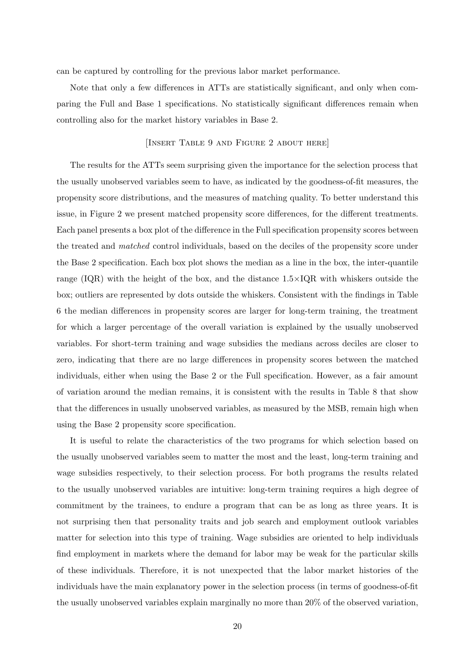can be captured by controlling for the previous labor market performance.

Note that only a few differences in ATTs are statistically significant, and only when comparing the Full and Base 1 specifications. No statistically significant differences remain when controlling also for the market history variables in Base 2.

#### [INSERT TABLE 9 AND FIGURE 2 ABOUT HERE]

The results for the ATTs seem surprising given the importance for the selection process that the usually unobserved variables seem to have, as indicated by the goodness-of-fit measures, the propensity score distributions, and the measures of matching quality. To better understand this issue, in Figure 2 we present matched propensity score differences, for the different treatments. Each panel presents a box plot of the difference in the Full specification propensity scores between the treated and matched control individuals, based on the deciles of the propensity score under the Base 2 specification. Each box plot shows the median as a line in the box, the inter-quantile range  $(IQR)$  with the height of the box, and the distance  $1.5 \times IQR$  with whiskers outside the box; outliers are represented by dots outside the whiskers. Consistent with the findings in Table 6 the median differences in propensity scores are larger for long-term training, the treatment for which a larger percentage of the overall variation is explained by the usually unobserved variables. For short-term training and wage subsidies the medians across deciles are closer to zero, indicating that there are no large differences in propensity scores between the matched individuals, either when using the Base 2 or the Full specification. However, as a fair amount of variation around the median remains, it is consistent with the results in Table 8 that show that the differences in usually unobserved variables, as measured by the MSB, remain high when using the Base 2 propensity score specification.

It is useful to relate the characteristics of the two programs for which selection based on the usually unobserved variables seem to matter the most and the least, long-term training and wage subsidies respectively, to their selection process. For both programs the results related to the usually unobserved variables are intuitive: long-term training requires a high degree of commitment by the trainees, to endure a program that can be as long as three years. It is not surprising then that personality traits and job search and employment outlook variables matter for selection into this type of training. Wage subsidies are oriented to help individuals find employment in markets where the demand for labor may be weak for the particular skills of these individuals. Therefore, it is not unexpected that the labor market histories of the individuals have the main explanatory power in the selection process (in terms of goodness-of-fit the usually unobserved variables explain marginally no more than 20% of the observed variation,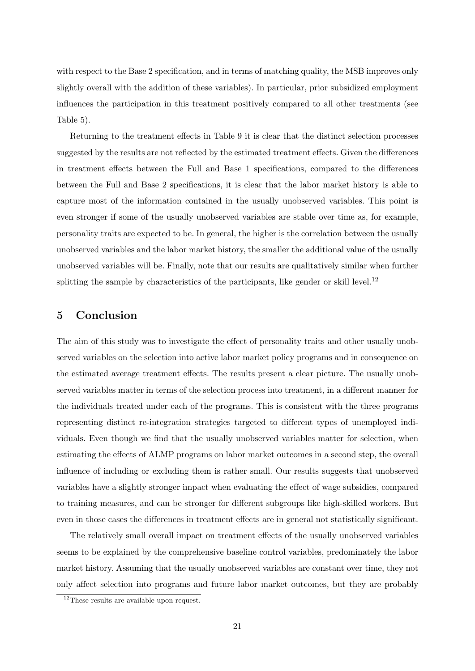with respect to the Base 2 specification, and in terms of matching quality, the MSB improves only slightly overall with the addition of these variables). In particular, prior subsidized employment influences the participation in this treatment positively compared to all other treatments (see Table 5).

Returning to the treatment effects in Table 9 it is clear that the distinct selection processes suggested by the results are not reflected by the estimated treatment effects. Given the differences in treatment effects between the Full and Base 1 specifications, compared to the differences between the Full and Base 2 specifications, it is clear that the labor market history is able to capture most of the information contained in the usually unobserved variables. This point is even stronger if some of the usually unobserved variables are stable over time as, for example, personality traits are expected to be. In general, the higher is the correlation between the usually unobserved variables and the labor market history, the smaller the additional value of the usually unobserved variables will be. Finally, note that our results are qualitatively similar when further splitting the sample by characteristics of the participants, like gender or skill level.<sup>12</sup>

### 5 Conclusion

The aim of this study was to investigate the effect of personality traits and other usually unobserved variables on the selection into active labor market policy programs and in consequence on the estimated average treatment effects. The results present a clear picture. The usually unobserved variables matter in terms of the selection process into treatment, in a different manner for the individuals treated under each of the programs. This is consistent with the three programs representing distinct re-integration strategies targeted to different types of unemployed individuals. Even though we find that the usually unobserved variables matter for selection, when estimating the effects of ALMP programs on labor market outcomes in a second step, the overall influence of including or excluding them is rather small. Our results suggests that unobserved variables have a slightly stronger impact when evaluating the effect of wage subsidies, compared to training measures, and can be stronger for different subgroups like high-skilled workers. But even in those cases the differences in treatment effects are in general not statistically significant.

The relatively small overall impact on treatment effects of the usually unobserved variables seems to be explained by the comprehensive baseline control variables, predominately the labor market history. Assuming that the usually unobserved variables are constant over time, they not only affect selection into programs and future labor market outcomes, but they are probably

<sup>&</sup>lt;sup>12</sup>These results are available upon request.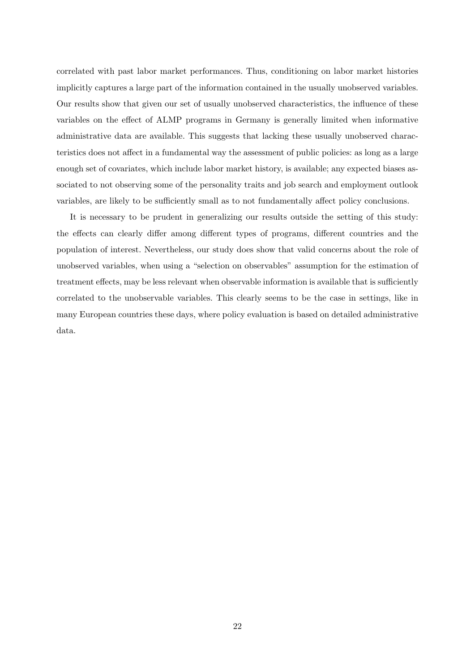correlated with past labor market performances. Thus, conditioning on labor market histories implicitly captures a large part of the information contained in the usually unobserved variables. Our results show that given our set of usually unobserved characteristics, the influence of these variables on the effect of ALMP programs in Germany is generally limited when informative administrative data are available. This suggests that lacking these usually unobserved characteristics does not affect in a fundamental way the assessment of public policies: as long as a large enough set of covariates, which include labor market history, is available; any expected biases associated to not observing some of the personality traits and job search and employment outlook variables, are likely to be sufficiently small as to not fundamentally affect policy conclusions.

It is necessary to be prudent in generalizing our results outside the setting of this study: the effects can clearly differ among different types of programs, different countries and the population of interest. Nevertheless, our study does show that valid concerns about the role of unobserved variables, when using a "selection on observables" assumption for the estimation of treatment effects, may be less relevant when observable information is available that is sufficiently correlated to the unobservable variables. This clearly seems to be the case in settings, like in many European countries these days, where policy evaluation is based on detailed administrative data.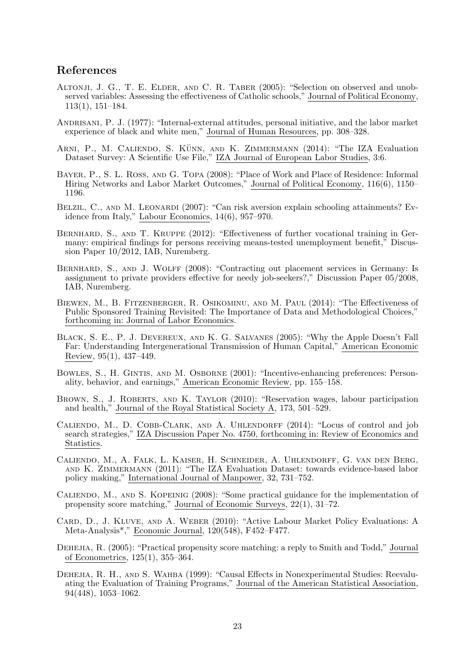### References

- Altonji, J. G., T. E. Elder, and C. R. Taber (2005): "Selection on observed and unobserved variables: Assessing the effectiveness of Catholic schools," Journal of Political Economy, 113(1), 151–184.
- Andrisani, P. J. (1977): "Internal-external attitudes, personal initiative, and the labor market experience of black and white men," Journal of Human Resources, pp. 308–328.
- ARNI, P., M. CALIENDO, S. KÜNN, AND K. ZIMMERMANN (2014): "The IZA Evaluation Dataset Survey: A Scientific Use File," IZA Journal of European Labor Studies, 3:6.
- Bayer, P., S. L. Ross, and G. Topa (2008): "Place of Work and Place of Residence: Informal Hiring Networks and Labor Market Outcomes," Journal of Political Economy, 116(6), 1150– 1196.
- BELZIL, C., AND M. LEONARDI (2007): "Can risk aversion explain schooling attainments? Evidence from Italy," Labour Economics, 14(6), 957–970.
- BERNHARD, S., AND T. KRUPPE (2012): "Effectiveness of further vocational training in Germany: empirical findings for persons receiving means-tested unemployment benefit," Discussion Paper 10/2012, IAB, Nuremberg.
- BERNHARD, S., AND J. WOLFF (2008): "Contracting out placement services in Germany: Is assignment to private providers effective for needy job-seekers?," Discussion Paper 05/2008, IAB, Nuremberg.
- Biewen, M., B. Fitzenberger, R. Osikominu, and M. Paul (2014): "The Effectiveness of Public Sponsored Training Revisited: The Importance of Data and Methodological Choices," forthcoming in: Journal of Labor Economics.
- Black, S. E., P. J. Devereux, and K. G. Salvanes (2005): "Why the Apple Doesn't Fall Far: Understanding Intergenerational Transmission of Human Capital," American Economic Review, 95(1), 437–449.
- Bowles, S., H. Gintis, and M. Osborne (2001): "Incentive-enhancing preferences: Personality, behavior, and earnings," American Economic Review, pp. 155–158.
- BROWN, S., J. ROBERTS, AND K. TAYLOR (2010): "Reservation wages, labour participation and health," Journal of the Royal Statistical Society A, 173, 501–529.
- CALIENDO, M., D. COBB-CLARK, AND A. UHLENDORFF (2014): "Locus of control and job search strategies," IZA Discussion Paper No. 4750, forthcoming in: Review of Economics and Statistics.
- Caliendo, M., A. Falk, L. Kaiser, H. Schneider, A. Uhlendorff, G. van den Berg, and K. Zimmermann (2011): "The IZA Evaluation Dataset: towards evidence-based labor policy making," International Journal of Manpower, 32, 731–752.
- Caliendo, M., and S. Kopeinig (2008): "Some practical guidance for the implementation of propensity score matching," Journal of Economic Surveys, 22(1), 31–72.
- Card, D., J. Kluve, and A. Weber (2010): "Active Labour Market Policy Evaluations: A Meta-Analysis\*," Economic Journal, 120(548), F452–F477.
- DEHEJIA, R. (2005): "Practical propensity score matching: a reply to Smith and Todd," Journal of Econometrics, 125(1), 355–364.
- Dehejia, R. H., and S. Wahba (1999): "Causal Effects in Nonexperimental Studies: Reevaluating the Evaluation of Training Programs," Journal of the American Statistical Association, 94(448), 1053–1062.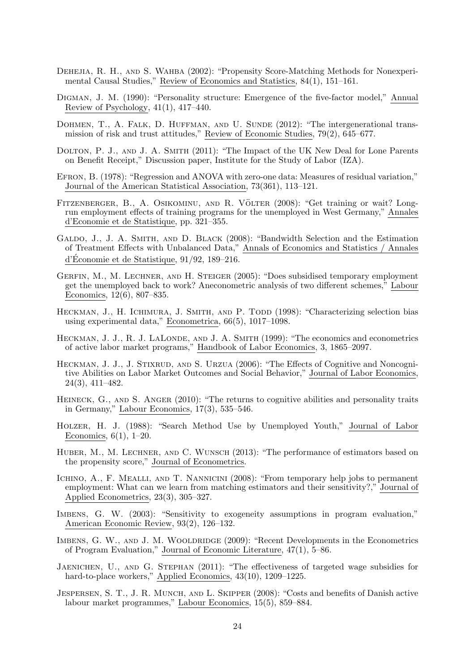- DEHEJIA, R. H., AND S. WAHBA (2002): "Propensity Score-Matching Methods for Nonexperimental Causal Studies," Review of Economics and Statistics, 84(1), 151–161.
- Digman, J. M. (1990): "Personality structure: Emergence of the five-factor model," Annual Review of Psychology,  $41(1)$ ,  $417-440$ .
- DOHMEN, T., A. FALK, D. HUFFMAN, AND U. SUNDE (2012): "The intergenerational transmission of risk and trust attitudes," Review of Economic Studies, 79(2), 645–677.
- DOLTON, P. J., AND J. A. SMITH (2011): "The Impact of the UK New Deal for Lone Parents on Benefit Receipt," Discussion paper, Institute for the Study of Labor (IZA).
- Efron, B. (1978): "Regression and ANOVA with zero-one data: Measures of residual variation," Journal of the American Statistical Association, 73(361), 113–121.
- FITZENBERGER, B., A. OSIKOMINU, AND R. VÖLTER (2008): "Get training or wait? Longrun employment effects of training programs for the unemployed in West Germany," Annales d'Economie et de Statistique, pp. 321–355.
- Galdo, J., J. A. Smith, and D. Black (2008): "Bandwidth Selection and the Estimation of Treatment Effects with Unbalanced Data," Annals of Economics and Statistics / Annales d'Economie et de Statistique,  $91/92$ , 189–216.
- Gerfin, M., M. Lechner, and H. Steiger (2005): "Does subsidised temporary employment get the unemployed back to work? Aneconometric analysis of two different schemes," Labour Economics, 12(6), 807–835.
- HECKMAN, J., H. ICHIMURA, J. SMITH, AND P. TODD (1998): "Characterizing selection bias using experimental data," Econometrica, 66(5), 1017–1098.
- HECKMAN, J. J., R. J. LALONDE, AND J. A. SMITH (1999): "The economics and econometrics of active labor market programs," Handbook of Labor Economics, 3, 1865–2097.
- HECKMAN, J. J., J. STIXRUD, AND S. URZUA (2006): "The Effects of Cognitive and Noncognitive Abilities on Labor Market Outcomes and Social Behavior," Journal of Labor Economics, 24(3), 411–482.
- HEINECK, G., AND S. ANGER (2010): "The returns to cognitive abilities and personality traits in Germany," Labour Economics, 17(3), 535–546.
- Holzer, H. J. (1988): "Search Method Use by Unemployed Youth," Journal of Labor Economics,  $6(1)$ ,  $1-20$ .
- HUBER, M., M. LECHNER, AND C. WUNSCH (2013): "The performance of estimators based on the propensity score," Journal of Econometrics.
- ICHINO, A., F. MEALLI, AND T. NANNICINI (2008): "From temporary help jobs to permanent employment: What can we learn from matching estimators and their sensitivity?," Journal of Applied Econometrics, 23(3), 305–327.
- IMBENS, G. W. (2003): "Sensitivity to exogeneity assumptions in program evaluation," American Economic Review, 93(2), 126–132.
- IMBENS, G. W., AND J. M. WOOLDRIDGE (2009): "Recent Developments in the Econometrics of Program Evaluation," Journal of Economic Literature, 47(1), 5–86.
- Jaenichen, U., and G. Stephan (2011): "The effectiveness of targeted wage subsidies for hard-to-place workers," Applied Economics, 43(10), 1209–1225.
- JESPERSEN, S. T., J. R. MUNCH, AND L. SKIPPER (2008): "Costs and benefits of Danish active labour market programmes," Labour Economics, 15(5), 859–884.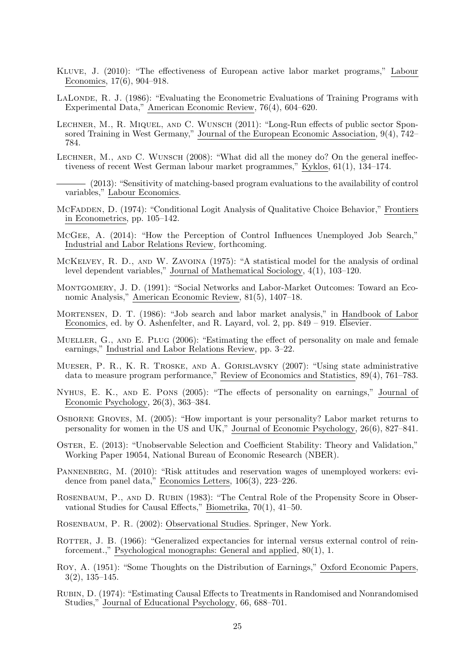- Kluve, J. (2010): "The effectiveness of European active labor market programs," Labour Economics, 17(6), 904–918.
- LALONDE, R. J. (1986): "Evaluating the Econometric Evaluations of Training Programs with Experimental Data," American Economic Review, 76(4), 604–620.
- Lechner, M., R. Miquel, and C. Wunsch (2011): "Long-Run effects of public sector Sponsored Training in West Germany," Journal of the European Economic Association, 9(4), 742– 784.
- LECHNER, M., AND C. WUNSCH (2008): "What did all the money do? On the general ineffectiveness of recent West German labour market programmes," Kyklos, 61(1), 134–174.
- (2013): "Sensitivity of matching-based program evaluations to the availability of control variables," Labour Economics.
- McFadden, D. (1974): "Conditional Logit Analysis of Qualitative Choice Behavior," Frontiers in Econometrics, pp. 105–142.
- McGee, A. (2014): "How the Perception of Control Influences Unemployed Job Search," Industrial and Labor Relations Review, forthcoming.
- McKelvey, R. D., and W. Zavoina (1975): "A statistical model for the analysis of ordinal level dependent variables," Journal of Mathematical Sociology, 4(1), 103–120.
- Montgomery, J. D. (1991): "Social Networks and Labor-Market Outcomes: Toward an Economic Analysis," American Economic Review, 81(5), 1407–18.
- Mortensen, D. T. (1986): "Job search and labor market analysis," in Handbook of Labor Economics, ed. by O. Ashenfelter, and R. Layard, vol. 2, pp. 849 – 919. Elsevier.
- MUELLER, G., AND E. PLUG (2006): "Estimating the effect of personality on male and female earnings," Industrial and Labor Relations Review, pp. 3–22.
- Mueser, P. R., K. R. Troske, and A. Gorislavsky (2007): "Using state administrative data to measure program performance," Review of Economics and Statistics, 89(4), 761–783.
- Nyhus, E. K., and E. Pons (2005): "The effects of personality on earnings," Journal of Economic Psychology, 26(3), 363–384.
- Osborne Groves, M. (2005): "How important is your personality? Labor market returns to personality for women in the US and UK," Journal of Economic Psychology, 26(6), 827–841.
- Oster, E. (2013): "Unobservable Selection and Coefficient Stability: Theory and Validation," Working Paper 19054, National Bureau of Economic Research (NBER).
- PANNENBERG, M. (2010): "Risk attitudes and reservation wages of unemployed workers: evidence from panel data," Economics Letters, 106(3), 223–226.
- ROSENBAUM, P., AND D. RUBIN (1983): "The Central Role of the Propensity Score in Observational Studies for Causal Effects," Biometrika, 70(1), 41–50.
- Rosenbaum, P. R. (2002): Observational Studies. Springer, New York.
- ROTTER, J. B. (1966): "Generalized expectancies for internal versus external control of reinforcement.," Psychological monographs: General and applied, 80(1), 1.
- Roy, A. (1951): "Some Thoughts on the Distribution of Earnings," Oxford Economic Papers, 3(2), 135–145.
- Rubin, D. (1974): "Estimating Causal Effects to Treatments in Randomised and Nonrandomised Studies," Journal of Educational Psychology, 66, 688–701.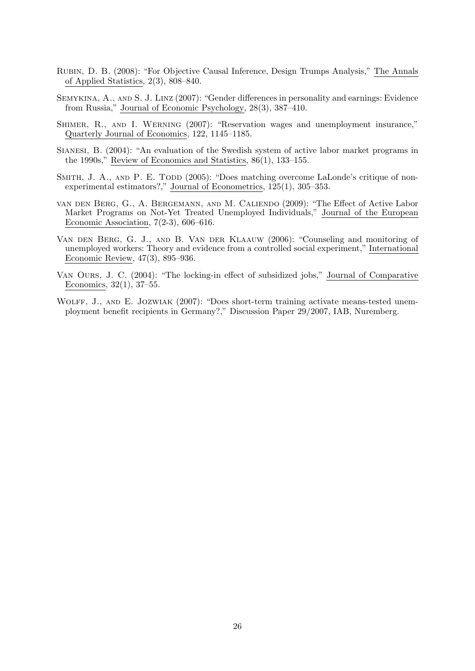- Rubin, D. B. (2008): "For Objective Causal Inference, Design Trumps Analysis," The Annals of Applied Statistics, 2(3), 808–840.
- Semykina, A., and S. J. Linz (2007): "Gender differences in personality and earnings: Evidence from Russia," Journal of Economic Psychology, 28(3), 387–410.
- Shimer, R., and I. Werning (2007): "Reservation wages and unemployment insurance," Quarterly Journal of Economics, 122, 1145–1185.
- Sianesi, B. (2004): "An evaluation of the Swedish system of active labor market programs in the 1990s," Review of Economics and Statistics, 86(1), 133–155.
- SMITH, J. A., AND P. E. TODD (2005): "Does matching overcome LaLonde's critique of nonexperimental estimators?," Journal of Econometrics, 125(1), 305–353.
- van den Berg, G., A. Bergemann, and M. Caliendo (2009): "The Effect of Active Labor Market Programs on Not-Yet Treated Unemployed Individuals," Journal of the European Economic Association, 7(2-3), 606–616.
- Van den Berg, G. J., and B. Van der Klaauw (2006): "Counseling and monitoring of unemployed workers: Theory and evidence from a controlled social experiment," International Economic Review, 47(3), 895–936.
- Van Ours, J. C. (2004): "The locking-in effect of subsidized jobs," Journal of Comparative Economics, 32(1), 37–55.
- WOLFF, J., AND E. JOZWIAK (2007): "Does short-term training activate means-tested unemployment benefit recipients in Germany?," Discussion Paper 29/2007, IAB, Nuremberg.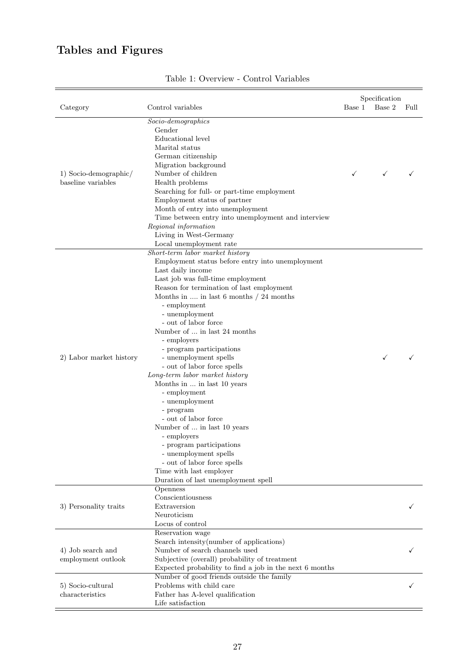## Tables and Figures

| Category                                    | Control variables                                                                                                                                                                                                                                                                                                                                                                                                                                                                                                                                                                                                                                                                                                                                                                             | Specification<br>Base 2<br>Base 1 | Full |
|---------------------------------------------|-----------------------------------------------------------------------------------------------------------------------------------------------------------------------------------------------------------------------------------------------------------------------------------------------------------------------------------------------------------------------------------------------------------------------------------------------------------------------------------------------------------------------------------------------------------------------------------------------------------------------------------------------------------------------------------------------------------------------------------------------------------------------------------------------|-----------------------------------|------|
| 1) Socio-demographic/<br>baseline variables | $Socio$ -demographics<br>Gender<br>Educational level<br>Marital status<br>German citizenship<br>Migration background<br>Number of children<br>Health problems<br>Searching for full- or part-time employment<br>Employment status of partner<br>Month of entry into unemployment<br>Time between entry into unemployment and interview<br>Regional information<br>Living in West-Germany<br>Local unemployment rate                                                                                                                                                                                                                                                                                                                                                                           | $\checkmark$<br>✓                 |      |
| 2) Labor market history                     | Short-term labor market history<br>Employment status before entry into unemployment<br>Last daily income<br>Last job was full-time employment<br>Reason for termination of last employment<br>Months in $\dots$ in last 6 months / 24 months<br>- employment<br>- unemployment<br>- out of labor force<br>Number of  in last 24 months<br>- employers<br>- program participations<br>- unemployment spells<br>- out of labor force spells<br>Long-term labor market history<br>Months in  in last 10 years<br>- employment<br>- unemployment<br>- program<br>- out of labor force<br>Number of $\ldots$ in last 10 years<br>- employers<br>- program participations<br>- unemployment spells<br>- out of labor force spells<br>Time with last employer<br>Duration of last unemployment spell | ✓                                 |      |
| 3) Personality traits                       | Openness<br>Conscientiousness<br>Extraversion<br>Neuroticism<br>Locus of control                                                                                                                                                                                                                                                                                                                                                                                                                                                                                                                                                                                                                                                                                                              |                                   |      |
| 4) Job search and<br>employment outlook     | Reservation wage<br>Search intensity (number of applications)<br>Number of search channels used<br>Subjective (overall) probability of treatment<br>Expected probability to find a job in the next 6 months                                                                                                                                                                                                                                                                                                                                                                                                                                                                                                                                                                                   |                                   |      |
| 5) Socio-cultural<br>characteristics        | Number of good friends outside the family<br>Problems with child care<br>Father has A-level qualification<br>Life satisfaction                                                                                                                                                                                                                                                                                                                                                                                                                                                                                                                                                                                                                                                                |                                   | ✓    |

## Table 1: Overview - Control Variables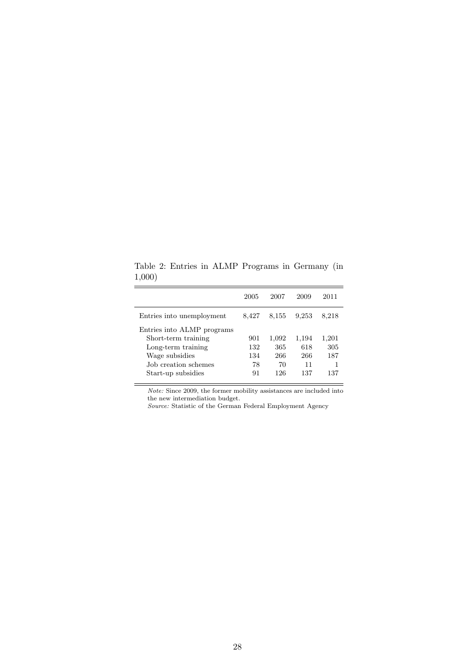Table 2: Entries in ALMP Programs in Germany (in 1,000)

|                            | 2005  | 2007  | 2009  | 2011  |
|----------------------------|-------|-------|-------|-------|
| Entries into unemployment  | 8,427 | 8,155 | 9.253 | 8,218 |
| Entries into ALMP programs |       |       |       |       |
| Short-term training        | 901   | 1,092 | 1,194 | 1,201 |
| Long-term training         | 132   | 365   | 618   | 305   |
| Wage subsidies             | 134   | 266   | 266   | 187   |
| Job creation schemes       | 78    | 70    | 11    |       |
| Start-up subsidies         | 91    | 126   | 137   | 137   |

Note: Since 2009, the former mobility assistances are included into the new intermediation budget.

Source: Statistic of the German Federal Employment Agency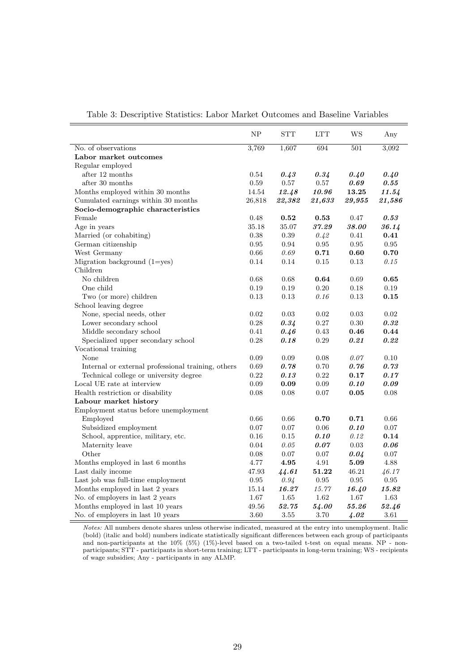|                                                    | NP         | ${\hbox{\footnotesize\rm STT}}$ | <b>LTT</b> | <b>WS</b>  | Any        |
|----------------------------------------------------|------------|---------------------------------|------------|------------|------------|
| No. of observations                                | 3,769      | 1,607                           | 694        | 501        | 3,092      |
| Labor market outcomes                              |            |                                 |            |            |            |
| Regular employed                                   |            |                                 |            |            |            |
| after 12 months                                    | 0.54       | 0.43                            | 0.34       | 0.40       | 0.40       |
| after 30 months                                    | 0.59       | $0.57\,$                        | 0.57       | 0.69       | 0.55       |
| Months employed within 30 months                   | 14.54      | 12.48                           | 10.96      | 13.25      | 11.54      |
| Cumulated earnings within 30 months                | 26,818     | 22,382                          | 21,633     | 29,955     | 21,586     |
| Socio-demographic characteristics                  |            |                                 |            |            |            |
| Female                                             | 0.48       | 0.52                            | 0.53       | 0.47       | 0.53       |
| Age in years                                       | 35.18      | 35.07                           | 37.29      | 38.00      | 36.14      |
| Married (or cohabiting)                            | 0.38       | 0.39                            | 0.42       | 0.41       | 0.41       |
| German citizenship                                 | 0.95       | 0.94                            | 0.95       | 0.95       | 0.95       |
| West Germany                                       | 0.66       | 0.69                            | 0.71       | 0.60       | 0.70       |
| Migration background $(1 = yes)$                   | 0.14       | 0.14                            | 0.15       | 0.13       | 0.15       |
| Children                                           |            |                                 |            |            |            |
| No children                                        | 0.68       | 0.68                            | 0.64       | 0.69       | 0.65       |
| One child                                          | 0.19       | 0.19                            | 0.20       | 0.18       | 0.19       |
| Two (or more) children                             | 0.13       | 0.13                            | 0.16       | 0.13       | 0.15       |
| School leaving degree                              |            |                                 |            |            |            |
| None, special needs, other                         | 0.02       | 0.03                            | 0.02       | 0.03       | 0.02       |
| Lower secondary school                             | 0.28       | 0.34                            | 0.27       | 0.30       | $0.32\,$   |
| Middle secondary school                            | 0.41       | 0.46                            | 0.43       | 0.46       | 0.44       |
| Specialized upper secondary school                 | 0.28       | 0.18                            | 0.29       | 0.21       | 0.22       |
| Vocational training                                |            |                                 |            |            |            |
| None                                               | 0.09       | 0.09                            | 0.08       | 0.07       | 0.10       |
| Internal or external professional training, others | 0.69       | 0.78                            | 0.70       | 0.76       | 0.73       |
| Technical college or university degree             | 0.22       | 0.13                            | 0.22       | 0.17       | 0.17       |
| Local UE rate at interview                         | 0.09       | 0.09                            | 0.09       | 0.10       | 0.09       |
| Health restriction or disability                   | 0.08       | 0.08                            | 0.07       | 0.05       | 0.08       |
| Labour market history                              |            |                                 |            |            |            |
| Employment status before unemployment              |            |                                 |            |            |            |
| Employed                                           | 0.66       | 0.66                            | 0.70       | 0.71       | 0.66       |
| Subsidized employment                              | 0.07       | 0.07                            | 0.06       | 0.10       | 0.07       |
| School, apprentice, military, etc.                 | 0.16       | 0.15                            | 0.10       | 0.12       | 0.14       |
| Maternity leave                                    | 0.04       | 0.05                            | 0.07       | 0.03       | 0.06       |
| Other                                              | 0.08       | $0.07\,$                        | 0.07       | 0.04       | 0.07       |
| Months employed in last 6 months                   | 4.77       | 4.95                            | 4.91       | 5.09       | 4.88       |
| Last daily income                                  | 47.93      | 44.61                           | 51.22      | 46.21      | 46.17      |
| Last job was full-time employment                  | $\rm 0.95$ | 0.94                            | $\rm 0.95$ | $\rm 0.95$ | $\rm 0.95$ |
| Months employed in last 2 years                    | 15.14      | 16.27                           | 15.77      | 16.40      | 15.82      |
| No. of employers in last 2 years                   | 1.67       | $1.65\,$                        | 1.62       | 1.67       | 1.63       |
| Months employed in last 10 years                   | 49.56      | 52.75                           | 54.00      | 55.26      | 52.46      |
| No. of employers in last 10 years                  | 3.60       | 3.55                            | 3.70       | 4.02       | 3.61       |

Table 3: Descriptive Statistics: Labor Market Outcomes and Baseline Variables

Notes: All numbers denote shares unless otherwise indicated, measured at the entry into unemployment. Italic (bold) (italic and bold) numbers indicate statistically significant differences between each group of participants and non-participants at the 10% (5%) (1%)-level based on a two-tailed t-test on equal means. NP - nonparticipants; STT - participants in short-term training; LTT - participants in long-term training; WS - recipients of wage subsidies; Any - participants in any ALMP.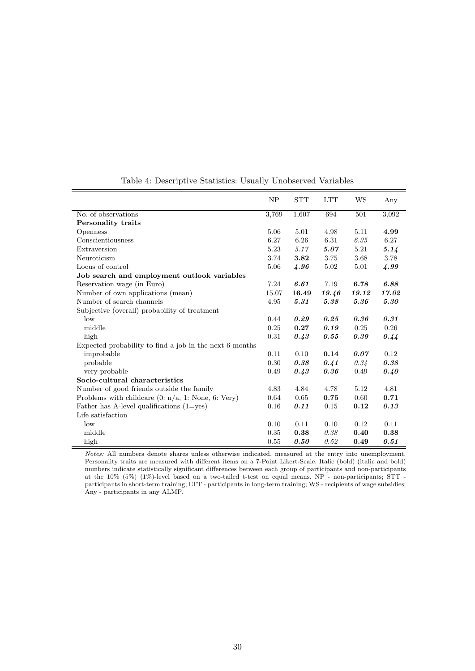|                                                         | NP    | <b>STT</b> | <b>LTT</b> | WS    | Any   |
|---------------------------------------------------------|-------|------------|------------|-------|-------|
| No. of observations                                     | 3,769 | 1,607      | 694        | 501   | 3,092 |
| Personality traits                                      |       |            |            |       |       |
| <b>Openness</b>                                         | 5.06  | 5.01       | 4.98       | 5.11  | 4.99  |
| Conscientiousness                                       | 6.27  | 6.26       | 6.31       | 6.35  | 6.27  |
| Extraversion                                            | 5.23  | 5.17       | 5.07       | 5.21  | 5.14  |
| Neuroticism                                             | 3.74  | 3.82       | 3.75       | 3.68  | 3.78  |
| Locus of control                                        | 5.06  | 4.96       | 5.02       | 5.01  | 4.99  |
| Job search and employment outlook variables             |       |            |            |       |       |
| Reservation wage (in Euro)                              | 7.24  | 6.61       | 7.19       | 6.78  | 6.88  |
| Number of own applications (mean)                       | 15.07 | 16.49      | 19.46      | 19.12 | 17.02 |
| Number of search channels                               | 4.95  | 5.31       | 5.38       | 5.36  | 5.30  |
| Subjective (overall) probability of treatment           |       |            |            |       |       |
| low                                                     | 0.44  | 0.29       | 0.25       | 0.36  | 0.31  |
| middle                                                  | 0.25  | 0.27       | 0.19       | 0.25  | 0.26  |
| high                                                    | 0.31  | 0.43       | 0.55       | 0.39  | 0.44  |
| Expected probability to find a job in the next 6 months |       |            |            |       |       |
| improbable                                              | 0.11  | 0.10       | 0.14       | 0.07  | 0.12  |
| probable                                                | 0.30  | 0.38       | 0.41       | 0.34  | 0.38  |
| very probable                                           | 0.49  | 0.43       | 0.36       | 0.49  | 0.40  |
| Socio-cultural characteristics                          |       |            |            |       |       |
| Number of good friends outside the family               | 4.83  | 4.84       | 4.78       | 5.12  | 4.81  |
| Problems with childcare $(0: n/a, 1: None, 6: Very)$    | 0.64  | 0.65       | 0.75       | 0.60  | 0.71  |
| Father has A-level qualifications $(1 = yes)$           | 0.16  | 0.11       | 0.15       | 0.12  | 0.13  |
| Life satisfaction                                       |       |            |            |       |       |
| low                                                     | 0.10  | 0.11       | 0.10       | 0.12  | 0.11  |
| middle                                                  | 0.35  | 0.38       | 0.38       | 0.40  | 0.38  |
| high                                                    | 0.55  | 0.50       | 0.52       | 0.49  | 0.51  |

Table 4: Descriptive Statistics: Usually Unobserved Variables

Ė

Notes: All numbers denote shares unless otherwise indicated, measured at the entry into unemployment. Personality traits are measured with different items on a 7-Point Likert-Scale. Italic (bold) (italic and bold) numbers indicate statistically significant differences between each group of participants and non-participants at the 10% (5%) (1%)-level based on a two-tailed t-test on equal means. NP - non-participants; STT participants in short-term training; LTT - participants in long-term training; WS - recipients of wage subsidies; Any - participants in any ALMP.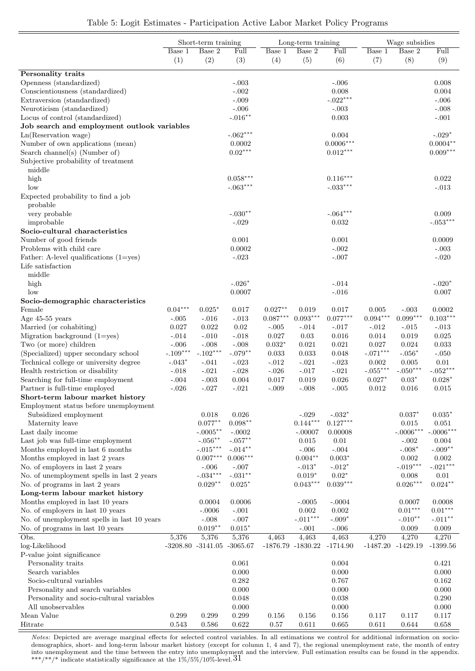|                                             |            | Short-term training              |            | Long-term training         |                      |             | Wage subsidies |             |                       |
|---------------------------------------------|------------|----------------------------------|------------|----------------------------|----------------------|-------------|----------------|-------------|-----------------------|
|                                             | Base 1     | Base 2                           | Full       | $\overline{\text{Base}}$ 1 | Base 2               | Full        | Base 1         | Base 2      | Full                  |
|                                             | (1)        | (2)                              | (3)        | (4)                        | (5)                  | (6)         | (7)            | (8)         | (9)                   |
|                                             |            |                                  |            |                            |                      |             |                |             |                       |
| Personality traits                          |            |                                  |            |                            |                      |             |                |             |                       |
| Openness (standardized)                     |            |                                  | $-.003$    |                            |                      | $-.006$     |                |             | 0.008                 |
| Conscientiousness (standardized)            |            |                                  | $-.002$    |                            |                      | 0.008       |                |             | 0.004                 |
| Extraversion (standardized)                 |            |                                  | $-.009$    |                            |                      | $-.022***$  |                |             | $-.006$               |
| Neuroticism (standardized)                  |            |                                  | $-.006$    |                            |                      | $-.003$     |                |             | $-.008$               |
| Locus of control (standardized)             |            |                                  | $-.016**$  |                            |                      | 0.003       |                |             | $-.001$               |
| Job search and employment outlook variables |            |                                  |            |                            |                      |             |                |             |                       |
| Ln(Reservation wage)                        |            |                                  | $-.062***$ |                            |                      | 0.004       |                |             | $-.029*$              |
| Number of own applications (mean)           |            |                                  | 0.0002     |                            |                      | $0.0006***$ |                |             | $0.0004**$            |
| Search channel(s) (Number of)               |            |                                  | $0.02***$  |                            |                      | $0.012***$  |                |             | $0.009***$            |
| Subjective probability of treatment         |            |                                  |            |                            |                      |             |                |             |                       |
| middle                                      |            |                                  |            |                            |                      |             |                |             |                       |
| high                                        |            |                                  | $0.058***$ |                            |                      | $0.116***$  |                |             | 0.022                 |
| low                                         |            |                                  | $-.063***$ |                            |                      | $-.033***$  |                |             | $-.013$               |
| Expected probability to find a job          |            |                                  |            |                            |                      |             |                |             |                       |
| probable                                    |            |                                  |            |                            |                      |             |                |             |                       |
| very probable                               |            |                                  | $-.030**$  |                            |                      | $-.064***$  |                |             | 0.009                 |
| improbable                                  |            |                                  | $-.029$    |                            |                      | 0.032       |                |             | $-.053***$            |
| Socio-cultural characteristics              |            |                                  |            |                            |                      |             |                |             |                       |
|                                             |            |                                  |            |                            |                      |             |                |             |                       |
| Number of good friends                      |            |                                  | 0.001      |                            |                      | 0.001       |                |             | 0.0009                |
| Problems with child care                    |            |                                  | 0.0002     |                            |                      | $-.002$     |                |             | $-.003$               |
| Father: A-level qualifications $(1 = yes)$  |            |                                  | $-.023$    |                            |                      | $-.007$     |                |             | $-.020$               |
| Life satisfaction                           |            |                                  |            |                            |                      |             |                |             |                       |
| middle                                      |            |                                  |            |                            |                      |             |                |             |                       |
| high                                        |            |                                  | $-.026*$   |                            |                      | $-.014$     |                |             | $-.020*$              |
| low                                         |            |                                  | 0.0007     |                            |                      | $-.016$     |                |             | 0.007                 |
| Socio-demographic characteristics           |            |                                  |            |                            |                      |             |                |             |                       |
| Female                                      | $0.04***$  | $0.025*$                         | 0.017      | $0.027**$                  | 0.019                | 0.017       | 0.005          | $-.003$     | 0.0002                |
| Age $45-55$ years                           | $-.005$    | $-.016$                          | $-.013$    | $0.087***$                 | $0.093***$           | $0.077***$  | $0.094***$     | $0.099***$  | $0.103***$            |
| Married (or cohabiting)                     | 0.027      | 0.022                            | 0.02       | $-.005$                    | $-.014$              | $-.017$     | $-.012$        | $-.015$     | $-.013$               |
| Migration background $(1 = yes)$            | $-.014$    | $-.010$                          | $-.018$    | 0.027                      | 0.03                 | 0.016       | 0.014          | 0.019       | 0.025                 |
| Two (or more) children                      | $-.006$    | $-.008$                          | $-.008$    | $0.032*$                   | 0.021                | 0.021       | 0.027          | 0.024       | 0.033                 |
| (Specialized) upper secondary school        | $-.109***$ | $-.102***$                       | $-.079**$  | 0.033                      | 0.033                | 0.048       | $-.071***$     | $-.056*$    | $-.050$               |
| Technical college or university degree      | $-.043*$   | $-.041$                          | $-.023$    | $-.012$                    | $-.021$              | $-.023$     | 0.002          | 0.005       | 0.01                  |
| Health restriction or disability            | $-.018$    | $-.021$                          | $-.028$    | $-.026$                    | $-.017$              | $-.021$     | $-.055***$     | $-.050***$  | $-.052***$            |
| Searching for full-time employment          | $-.004$    | $-.003$                          | 0.004      | 0.017                      | 0.019                | 0.026       | $0.027*$       | $0.03*$     | $0.028*$              |
| Partner is full-time employed               | $-.026$    | $-.027$                          | $-.021$    | $-.009$                    | $-.008$              | $-.005$     | 0.012          | 0.016       | 0.015                 |
| Short-term labour market history            |            |                                  |            |                            |                      |             |                |             |                       |
| Employment status before unemployment       |            |                                  |            |                            |                      |             |                |             |                       |
| Subsidized employment                       |            | 0.018                            | 0.026      |                            | $-.029$              | $-.032*$    |                | $0.037*$    | $0.035*$              |
| Maternity leave                             |            | $0.077***$                       | $0.098**$  |                            | $0.144***$           | $0.127***$  |                | 0.015       | 0.051                 |
| Last daily income                           |            | $-.0005***$                      | $-.0002$   |                            | $-.00007$            | 0.00008     |                | $-.0006***$ | $-.0006***$           |
| Last job was full-time employment           |            | $\textnormal{-}.056^{**}$        | $-.057***$ |                            | 0.015                | 0.01        |                | $-.002$     | 0.004                 |
| Months employed in last 6 months            |            | $\textnormal{-}.015^{***}$       | $-.014**$  |                            | $-.006$              | $-.004$     |                | $-.008*$    | $-.009**$             |
|                                             |            | $0.007^{\ast\ast\ast}$           | $0.006***$ |                            | $0.004***$           |             |                |             |                       |
| Months employed in last 2 years             |            |                                  |            |                            |                      | $0.003*$    |                | 0.002       | 0.002                 |
| No. of employers in last 2 years            |            | $-.006$                          | $-.007$    |                            | $-.013*$             | $-.012*$    |                | $-.019***$  | $-.021***$            |
| No. of unemployment spells in last 2 years  |            | $-.034***$                       | $-.031**$  |                            | $0.019*$             | $0.02*$     |                | 0.008       | 0.01                  |
| No. of programs in last 2 years             |            | $0.029**$                        | $0.025*$   |                            | $0.043***$           | $0.039***$  |                | $0.026***$  | $0.024***$            |
| Long-term labour market history             |            |                                  |            |                            |                      |             |                |             |                       |
| Months employed in last 10 years            |            | 0.0004                           | 0.0006     |                            | $-.0005$             | $-.0004$    |                | 0.0007      | 0.0008                |
| No. of employers in last 10 years           |            | $-.0006$                         | $-.001$    |                            | 0.002                | 0.002       |                | $0.01***$   | $0.01^{\ast\ast\ast}$ |
| No. of unemployment spells in last 10 years |            | $-.008$                          | $-.007$    |                            | $\text{-}.011^{***}$ | $-.009*$    |                | $-.010**$   | $-.011***$            |
| No. of programs in last 10 years            |            | $0.019**$                        | $0.015*$   |                            | $-.001$              | $-.006$     |                | 0.009       | 0.009                 |
| Obs.                                        | 5,376      | 5,376                            | 5,376      | 4,463                      | 4,463                | 4,463       | 4,270          | 4,270       | 4,270                 |
| log-Likelihood                              |            | $-3208.80$ $-3141.05$ $-3065.67$ |            |                            | -1876.79 -1830.22    | $-1714.90$  | $-1487.20$     | $-1429.19$  | $-1399.56$            |
| P-value joint significance                  |            |                                  |            |                            |                      |             |                |             |                       |
| Personality traits                          |            |                                  | 0.061      |                            |                      | 0.004       |                |             | 0.421                 |
| Search variables                            |            |                                  | 0.000      |                            |                      | 0.000       |                |             | 0.000                 |
| Socio-cultural variables                    |            |                                  | 0.282      |                            |                      | 0.767       |                |             | 0.162                 |
| Personality and search variables            |            |                                  | 0.000      |                            |                      | 0.000       |                |             | 0.000                 |
| Personality and socio-cultural variables    |            |                                  | 0.048      |                            |                      | 0.038       |                |             | 0.290                 |
| All unobservables                           |            |                                  | 0.000      |                            |                      | 0.000       |                |             | 0.000                 |
| Mean Value                                  | 0.299      | 0.299                            | 0.299      | 0.156                      | 0.156                | 0.156       | 0.117          | 0.117       | 0.117                 |
| Hitrate                                     | 0.543      | $0.586\,$                        | 0.622      | $0.57\,$                   | 0.611                | 0.665       | 0.611          | 0.644       | 0.658                 |
|                                             |            |                                  |            |                            |                      |             |                |             |                       |

#### Table 5: Logit Estimates - Participation Active Labor Market Policy Programs

Notes: Depicted are average marginal effects for selected control variables. In all estimations we control for additional information on sociodemographics, short- and long-term labour market history (except for column 1, 4 and 7), the regional unemployment rate, the month of entry into unemployment and the time between the entry into unemployment and the interview. Full estimation results can be found in the appendix. \*\*\*/\*\*/\* indicate statistically significance at the  $1\%/5\%/10\%$ -level.  $31$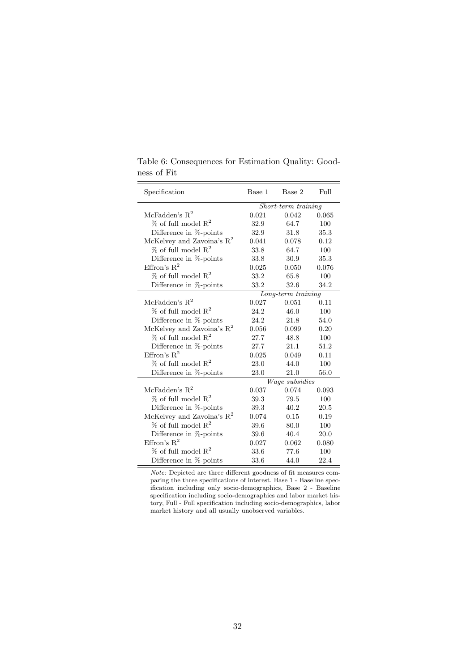| Specification                         | Base 1 | Base 2              | Full  |
|---------------------------------------|--------|---------------------|-------|
|                                       |        | Short-term training |       |
| McFadden's $R^2$                      | 0.021  | 0.042               | 0.065 |
| $\%$ of full model $\mathbb{R}^2$     | 32.9   | 64.7                | 100   |
| Difference in $%$ -points             | 32.9   | 31.8                | 35.3  |
| McKelvey and Zavoina's $\mathbb{R}^2$ | 0.041  | 0.078               | 0.12  |
| $%$ of full model $R2$                | 33.8   | 64.7                | 100   |
| Difference in %-points                | 33.8   | 30.9                | 35.3  |
| Effron's $R^2$                        | 0.025  | 0.050               | 0.076 |
| $%$ of full model $R2$                | 33.2   | 65.8                | 100   |
| Difference in $%$ -points             | 33.2   | 32.6                | 34.2  |
|                                       |        | Long-term training  |       |
| McFadden's $R^2$                      | 0.027  | 0.051               | 0.11  |
| $%$ of full model $R2$                | 24.2   | 46.0                | 100   |
| Difference in %-points                | 24.2   | 21.8                | 54.0  |
| McKelvey and Zavoina's $\mathbb{R}^2$ | 0.056  | 0.099               | 0.20  |
| $\%$ of full model $\mathbb{R}^2$     | 27.7   | 48.8                | 100   |
| Difference in $%$ -points             | 27.7   | 21.1                | 51.2  |
| Effron's $R^2$                        | 0.025  | 0.049               | 0.11  |
| $%$ of full model $R2$                | 23.0   | 44.0                | 100   |
| Difference in %-points                | 23.0   | 21.0                | 56.0  |
|                                       |        | Wage subsidies      |       |
| McFadden's $R^2$                      | 0.037  | 0.074               | 0.093 |
| $\%$ of full model $R^2$              | 39.3   | 79.5                | 100   |
| Difference in %-points                | 39.3   | 40.2                | 20.5  |
| McKelvey and Zavoina's $R^2$          | 0.074  | 0.15                | 0.19  |
| $%$ of full model $R^2$               | 39.6   | 80.0                | 100   |
| Difference in %-points                | 39.6   | 40.4                | 20.0  |
| Effron's $R^2$                        | 0.027  | 0.062               | 0.080 |
| $\%$ of full model $R^2$              | 33.6   | 77.6                | 100   |
| Difference in %-points                | 33.6   | 44.0                | 22.4  |

Table 6: Consequences for Estimation Quality: Goodness of Fit

Note: Depicted are three different goodness of fit measures comparing the three specifications of interest. Base 1 - Baseline specification including only socio-demographics, Base 2 - Baseline specification including socio-demographics and labor market history, Full - Full specification including socio-demographics, labor market history and all usually unobserved variables.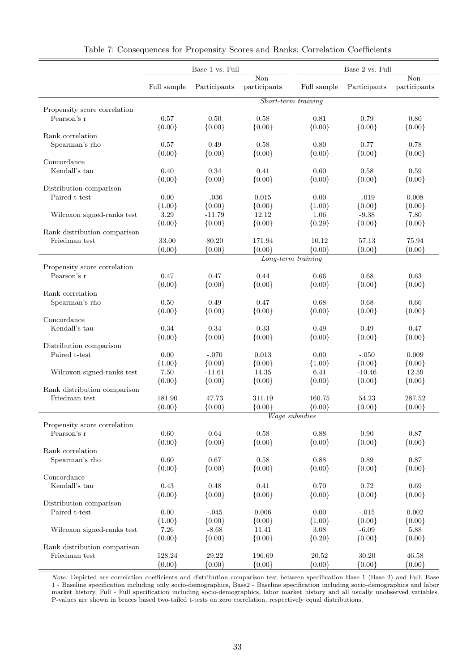|                                             |             | Base 1 vs. Full |              | Base 2 vs. Full       |              |              |
|---------------------------------------------|-------------|-----------------|--------------|-----------------------|--------------|--------------|
|                                             |             |                 | Non-         |                       |              | Non-         |
|                                             | Full sample | Participants    | participants | Full sample           | Participants | participants |
|                                             |             |                 |              | Short-term training   |              |              |
| Propensity score correlation<br>Pearson's r | 0.57        | 0.50            | 0.58         | 0.81                  | 0.79         | 0.80         |
|                                             | ${0.00}$    | ${0.00}$        | ${0.00}$     | ${0.00}$              | ${0.00}$     | ${0.00}$     |
| Rank correlation                            |             |                 |              |                       |              |              |
| Spearman's rho                              | 0.57        | 0.49            | 0.58         | 0.80                  | 0.77         | 0.78         |
|                                             | ${0.00}$    | ${0.00}$        | ${0.00}$     | ${0.00}$              | ${0.00}$     | ${0.00}$     |
| Concordance                                 |             |                 |              |                       |              |              |
| Kendall's tau                               | 0.40        | 0.34            | 0.41         | 0.60                  | 0.58         | 0.59         |
|                                             | ${0.00}$    | ${0.00}$        | ${0.00}$     | ${0.00}$              | ${0.00}$     | ${0.00}$     |
| Distribution comparison                     |             |                 |              |                       |              |              |
| Paired t-test                               | 0.00        | $-.036$         | 0.015        | 0.00                  | $-.019$      | 0.008        |
|                                             | ${1.00}$    | ${0.00}$        | ${0.00}$     | ${1.00}$              | ${0.00}$     | ${0.00}$     |
| Wilcoxon signed-ranks test                  | 3.29        | $-11.79$        | 12.12        | 1.06                  | $-9.38$      | 7.80         |
|                                             | ${0.00}$    | ${0.00}$        | ${0.00}$     | ${0.29}$              | ${0.00}$     | ${0.00}$     |
| Rank distribution comparison                |             |                 |              |                       |              |              |
| Friedman test                               | 33.00       | 80.20           | 171.94       | 10.12                 | 57.13        | 75.94        |
|                                             | ${0.00}$    | ${0.00}$        | ${0.00}$     | ${0.00}$              | ${0.00}$     | ${0.00}$     |
|                                             |             |                 |              | $Long-term\ training$ |              |              |
| Propensity score correlation                |             |                 |              |                       |              |              |
| Pearson's r                                 | 0.47        | 0.47            | 0.44         | 0.66                  | 0.68         | 0.63         |
|                                             | ${0.00}$    | ${0.00}$        | ${0.00}$     | ${0.00}$              | ${0.00}$     | ${0.00}$     |
| Rank correlation                            |             |                 |              |                       |              |              |
| Spearman's rho                              | 0.50        | 0.49            | 0.47         | 0.68                  | 0.68         | 0.66         |
|                                             | ${0.00}$    | ${0.00}$        | ${0.00}$     | ${0.00}$              | ${0.00}$     | ${0.00}$     |
| Concordance                                 |             |                 |              |                       |              |              |
| Kendall's tau                               | 0.34        | 0.34            | 0.33         | 0.49                  | 0.49         | 0.47         |
|                                             | ${0.00}$    | ${0.00}$        | ${0.00}$     | ${0.00}$              | ${0.00}$     | ${0.00}$     |
| Distribution comparison                     |             |                 |              |                       |              |              |
| Paired t-test                               | 0.00        | $-.070$         | 0.013        | 0.00                  | $-.050$      | 0.009        |
|                                             | ${1.00}$    | ${0.00}$        | ${0.00}$     | ${1.00}$              | ${0.00}$     | ${0.00}$     |
| Wilcoxon signed-ranks test                  | 7.50        | $-11.61$        | 14.35        | 6.41                  | $-10.46$     | 12.59        |
| Rank distribution comparison                | ${0.00}$    | ${0.00}$        | ${0.00}$     | ${0.00}$              | ${0.00}$     | ${0.00}$     |
| Friedman test                               | 181.90      | 47.73           | 311.19       | 160.75                | 54.23        | 287.52       |
|                                             | ${0.00}$    | ${0.00}$        | ${0.00}$     | ${0.00}$              | ${0.00}$     | ${0.00}$     |
|                                             |             |                 |              | Wage subsidies        |              |              |
| Propensity score correlation                |             |                 |              |                       |              |              |
| Pearson's r                                 | 0.60        | $\,0.64\,$      | 0.58         | 0.88                  | $0.90\,$     | 0.87         |
|                                             | ${0.00}$    | ${0.00}$        | ${0.00}$     | ${0.00}$              | ${0.00}$     | ${0.00}$     |
| Rank correlation                            |             |                 |              |                       |              |              |
| Spearman's rho                              | 0.60        | 0.67            | 0.58         | 0.88                  | 0.89         | 0.87         |
|                                             | ${0.00}$    | ${0.00}$        | ${0.00}$     | ${0.00}$              | ${0.00}$     | ${0.00}$     |
| Concordance                                 |             |                 |              |                       |              |              |
| Kendall's tau                               | $0.43\,$    | 0.48            | 0.41         | 0.70                  | 0.72         | $\,0.69\,$   |
|                                             | ${0.00}$    | ${0.00}$        | ${0.00}$     | ${0.00}$              | ${0.00}$     | ${0.00}$     |
| Distribution comparison                     |             |                 |              |                       |              |              |
| Paired t-test                               | 0.00        | $-.045$         | 0.006        | 0.00                  | $-.015$      | 0.002        |
|                                             | ${1.00}$    | ${0.00}$        | ${0.00}$     | ${1.00}$              | ${0.00}$     | ${0.00}$     |
| Wilcoxon signed-ranks test                  | $7.26\,$    | $-8.68$         | 11.41        | 3.08                  | $-6.09$      | 5.88         |
|                                             | ${0.00}$    | ${0.00}$        | ${0.00}$     | ${0.29}$              | ${0.00}$     | ${0.00}$     |
| Rank distribution comparison                |             |                 |              |                       |              |              |
| Friedman test                               | 128.24      | 29.22           | 196.69       | 20.52                 | 30.20        | 46.58        |
|                                             | ${0.00}$    | ${0.00}$        | ${0.00}$     | ${0.00}$              | ${0.00}$     | ${0.00}$     |

Table 7: Consequences for Propensity Scores and Ranks: Correlation Coefficients

Note: Depicted are correlation coefficients and distribution comparison test between specification Base 1 (Base 2) and Full. Base 1 - Baseline specification including only socio-demographics, Base2 - Baseline specification including socio-demographics and labor market history, Full - Full specification including socio-demographics, labor market history and all usually unobserved variables. P-values are shown in braces based two-tailed t-tests on zero correlation, respectively equal distributions.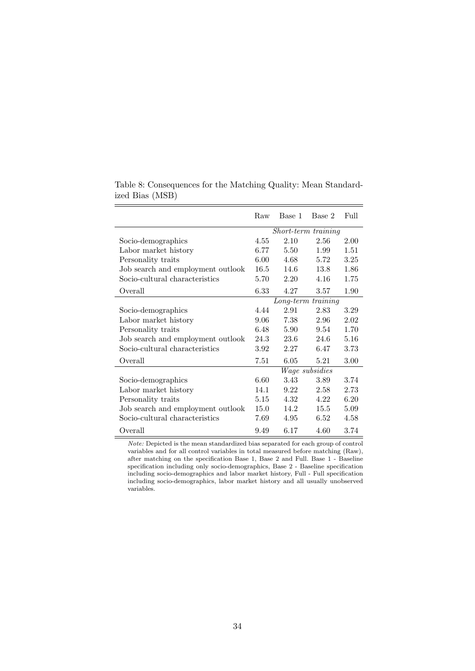|                                   | Raw  | Base 1              | Base 2         | Full |
|-----------------------------------|------|---------------------|----------------|------|
|                                   |      | Short-term training |                |      |
| Socio-demographics                | 4.55 | 2.10                | 2.56           | 2.00 |
| Labor market history              | 6.77 | 5.50                | 1.99           | 1.51 |
| Personality traits                | 6.00 | 4.68                | 5.72           | 3.25 |
| Job search and employment outlook | 16.5 | 14.6                | 13.8           | 1.86 |
| Socio-cultural characteristics    | 5.70 | 2.20                | 4.16           | 1.75 |
| Overall                           | 6.33 | 4.27                | 3.57           | 1.90 |
|                                   |      | $Long-term$         | training       |      |
| Socio-demographics                | 4.44 | 2.91                | 2.83           | 3.29 |
| Labor market history              | 9.06 | 7.38                | 2.96           | 2.02 |
| Personality traits                | 6.48 | 5.90                | 9.54           | 1.70 |
| Job search and employment outlook | 24.3 | 23.6                | 24.6           | 5.16 |
| Socio-cultural characteristics    | 3.92 | 2.27                | 6.47           | 3.73 |
| Overall                           | 7.51 | 6.05                | 5.21           | 3.00 |
|                                   |      |                     | Wage subsidies |      |
| Socio-demographics                | 6.60 | 3.43                | 3.89           | 3.74 |
| Labor market history              | 14.1 | 9.22                | 2.58           | 2.73 |
| Personality traits                | 5.15 | 4.32                | 4.22           | 6.20 |
| Job search and employment outlook | 15.0 | 14.2                | 15.5           | 5.09 |
| Socio-cultural characteristics    | 7.69 | 4.95                | 6.52           | 4.58 |
| Overall                           | 9.49 | 6.17                | 4.60           | 3.74 |

Table 8: Consequences for the Matching Quality: Mean Standardized Bias (MSB)

Note: Depicted is the mean standardized bias separated for each group of control variables and for all control variables in total measured before matching (Raw), after matching on the specification Base 1, Base 2 and Full. Base 1 - Baseline specification including only socio-demographics, Base 2 - Baseline specification including socio-demographics and labor market history, Full - Full specification including socio-demographics, labor market history and all usually unobserved variables.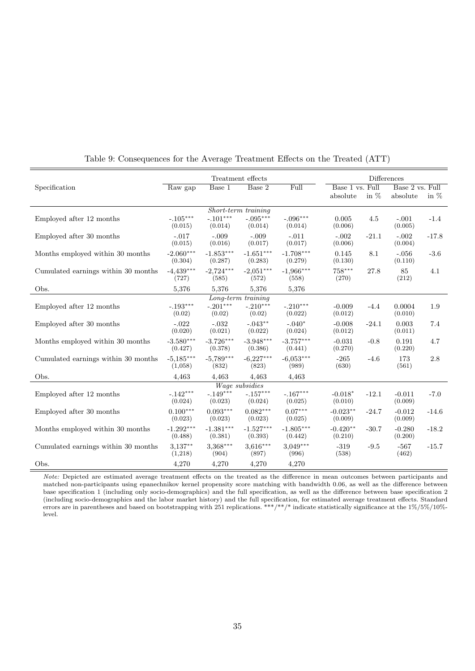| Treatment effects<br><b>Differences</b> |                        |                        |                                   |                        |                       |         |                     |         |
|-----------------------------------------|------------------------|------------------------|-----------------------------------|------------------------|-----------------------|---------|---------------------|---------|
| Specification                           | Raw gap                | Base 1                 | Base 2                            | Full                   | Base 1 vs. Full       |         | Base 2 vs. Full     |         |
|                                         |                        |                        |                                   |                        | absolute              | in $%$  | absolute            | in $%$  |
|                                         |                        |                        | Short-term training               |                        |                       |         |                     |         |
| Employed after 12 months                | $-.105***$<br>(0.015)  | $-.101***$<br>(0.014)  | $-.095***$<br>(0.014)             | $-.096***$<br>(0.014)  | 0.005<br>(0.006)      | 4.5     | $-.001$<br>(0.005)  | $-1.4$  |
| Employed after 30 months                | $-.017$<br>(0.015)     | $-.009$<br>(0.016)     | $-.009$<br>(0.017)                | $-.011$<br>(0.017)     | $-.002$<br>(0.006)    | $-21.1$ | $-.002$<br>(0.004)  | $-17.8$ |
| Months employed within 30 months        | $-2.060***$<br>(0.304) | $-1.853***$<br>(0.287) | $-1.651***$<br>(0.283)            | $-1.708***$<br>(0.279) | 0.145<br>(0.130)      | 8.1     | $-.056$<br>(0.110)  | $-3.6$  |
| Cumulated earnings within 30 months     | $-4,439***$<br>(727)   | $-2,724***$<br>(585)   | $-2,051***$<br>(572)              | $-1,966***$<br>(558)   | $758***$<br>(270)     | 27.8    | 85<br>(212)         | 4.1     |
| Obs.                                    | 5,376                  | 5,376                  | 5,376                             | 5,376                  |                       |         |                     |         |
|                                         |                        |                        | Long-term training                |                        |                       |         |                     |         |
| Employed after 12 months                | $-.193***$<br>(0.02)   | $-.201***$<br>(0.02)   | $-.210***$<br>(0.02)              | $-.210***$<br>(0.022)  | $-0.009$<br>(0.012)   | $-4.4$  | 0.0004<br>(0.010)   | 1.9     |
| Employed after 30 months                | $-.022$<br>(0.020)     | $-.032$<br>(0.021)     | $-.043**$<br>(0.022)              | $-.040*$<br>(0.024)    | $-0.008$<br>(0.012)   | $-24.1$ | 0.003<br>(0.011)    | 7.4     |
| Months employed within 30 months        | $-3.580***$<br>(0.427) | $-3.726***$<br>(0.378) | $-3.948***$<br>(0.386)            | $-3.757***$<br>(0.441) | $-0.031$<br>(0.270)   | $-0.8$  | 0.191<br>(0.220)    | 4.7     |
| Cumulated earnings within 30 months     | $-5,185***$<br>(1,058) | $-5,789***$<br>(832)   | $-6,227***$<br>(823)              | $-6,053***$<br>(989)   | $-265$<br>(630)       | $-4.6$  | 173<br>(561)        | 2.8     |
| Obs.                                    | 4,463                  | 4,463                  | 4,463                             | 4,463                  |                       |         |                     |         |
|                                         |                        |                        | Wage subsidies                    |                        |                       |         |                     |         |
| Employed after 12 months                | $-.142***$<br>(0.024)  | $-.149***$<br>(0.023)  | $-.157^{\ast\ast\ast}$<br>(0.024) | $-.167***$<br>(0.025)  | $-0.018*$<br>(0.010)  | $-12.1$ | $-0.011$<br>(0.009) | $-7.0$  |
| Employed after 30 months                | $0.100***$<br>(0.023)  | $0.093***$<br>(0.023)  | $0.082***$<br>(0.023)             | $0.07***$<br>(0.025)   | $-0.023**$<br>(0.009) | $-24.7$ | $-0.012$<br>(0.009) | $-14.6$ |
| Months employed within 30 months        | $-1.292***$<br>(0.488) | $-1.381***$<br>(0.381) | $-1.527***$<br>(0.393)            | $-1.805***$<br>(0.442) | $-0.420**$<br>(0.210) | $-30.7$ | $-0.280$<br>(0.200) | $-18.2$ |
| Cumulated earnings within 30 months     | $3,137***$<br>(1,218)  | $3,368***$<br>(904)    | $3,616***$<br>(897)               | $3,049***$<br>(996)    | $-319$<br>(538)       | $-9.5$  | $-567$<br>(462)     | $-15.7$ |
| Obs.                                    | 4,270                  | 4,270                  | 4,270                             | 4,270                  |                       |         |                     |         |

Table 9: Consequences for the Average Treatment Effects on the Treated (ATT)

Note: Depicted are estimated average treatment effects on the treated as the difference in mean outcomes between participants and matched non-participants using epanechnikov kernel propensity score matching with bandwidth 0.06, as well as the difference between base specification 1 (including only socio-demographics) and the full specification, as well as the difference between base specification 2 (including socio-demographics and the labor market history) and the full specification, for estimated average treatment effects. Standard errors are in parentheses and based on bootstrapping with 251 replications. \*\*\*/\*\*/\* indicate statistically significance at the 1%/5%/10%level.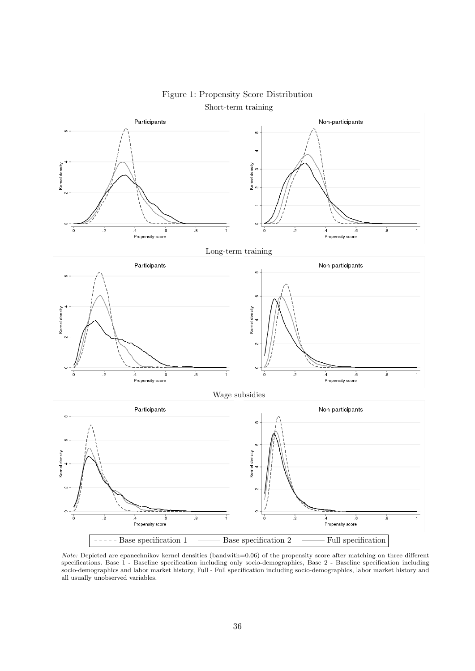

### Figure 1: Propensity Score Distribution Short-term training

Note: Depicted are epanechnikov kernel densities (bandwith=0.06) of the propensity score after matching on three different specifications. Base 1 - Baseline specification including only socio-demographics, Base 2 - Baseline specification including socio-demographics and labor market history, Full - Full specification including socio-demographics, labor market history and all usually unobserved variables.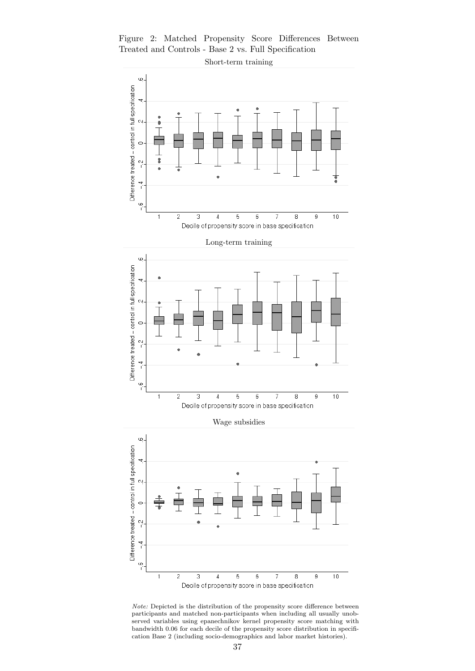Figure 2: Matched Propensity Score Differences Between Treated and Controls - Base 2 vs. Full Specification



Note: Depicted is the distribution of the propensity score difference between participants and matched non-participants when including all usually unobserved variables using epanechnikov kernel propensity score matching with bandwidth 0.06 for each decile of the propensity score distribution in specification Base 2 (including socio-demographics and labor market histories).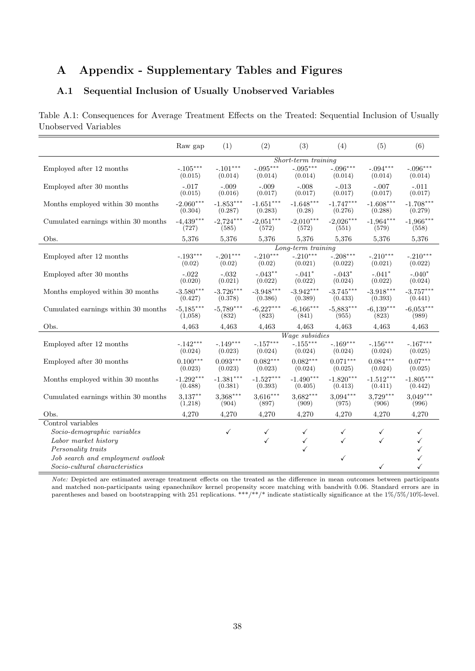## A Appendix - Supplementary Tables and Figures

### A.1 Sequential Inclusion of Usually Unobserved Variables

Table A.1: Consequences for Average Treatment Effects on the Treated: Sequential Inclusion of Usually Unobserved Variables

|                                     | Raw gap                | (1)                    | (2)                    | (3)                    | (4)                    | (5)                    | (6)                    |  |
|-------------------------------------|------------------------|------------------------|------------------------|------------------------|------------------------|------------------------|------------------------|--|
|                                     | Short-term training    |                        |                        |                        |                        |                        |                        |  |
| Employed after 12 months            | $-.105***$<br>(0.015)  | $-.101***$<br>(0.014)  | $-.095***$<br>(0.014)  | $-.095***$<br>(0.014)  | $-.096***$<br>(0.014)  | $-.094***$<br>(0.014)  | $-.096***$<br>(0.014)  |  |
| Employed after 30 months            | $-.017$<br>(0.015)     | $-.009$<br>(0.016)     | $-.009$<br>(0.017)     | $-.008$<br>(0.017)     | $-.013$<br>(0.017)     | $-.007$<br>(0.017)     | $-.011$<br>(0.017)     |  |
| Months employed within 30 months    | $-2.060***$<br>(0.304) | $-1.853***$<br>(0.287) | $-1.651***$<br>(0.283) | $-1.648***$<br>(0.28)  | $-1.747***$<br>(0.276) | $-1.608***$<br>(0.288) | $-1.708***$<br>(0.279) |  |
| Cumulated earnings within 30 months | $-4.439***$<br>(727)   | $-2.724***$<br>(585)   | $-2.051***$<br>(572)   | $-2,010***$<br>(572)   | $-2.026***$<br>(551)   | $-1.964***$<br>(579)   | $-1,966***$<br>(558)   |  |
| Obs.                                | 5,376                  | 5,376                  | 5,376                  | 5,376                  | 5,376                  | 5,376                  | 5,376                  |  |
|                                     |                        |                        |                        | Long-term training     |                        |                        |                        |  |
| Employed after 12 months            | $-.193***$<br>(0.02)   | $-.201***$<br>(0.02)   | $-.210***$<br>(0.02)   | $-.210***$<br>(0.021)  | $-.208***$<br>(0.022)  | $-.210***$<br>(0.021)  | $-.210***$<br>(0.022)  |  |
| Employed after 30 months            | $-.022$<br>(0.020)     | $-.032$<br>(0.021)     | $-.043***$<br>(0.022)  | $-.041*$<br>(0.022)    | $-.043*$<br>(0.024)    | $-.041*$<br>(0.022)    | $-.040*$<br>(0.024)    |  |
| Months employed within 30 months    | $-3.580***$<br>(0.427) | $-3.726***$<br>(0.378) | $-3.948***$<br>(0.386) | $-3.942***$<br>(0.389) | $-3.745***$<br>(0.433) | $-3.918***$<br>(0.393) | $-3.757***$<br>(0.441) |  |
| Cumulated earnings within 30 months | $-5,185***$<br>(1,058) | $-5,789***$<br>(832)   | $-6,227***$<br>(823)   | $-6,166***$<br>(841)   | $-5.883***$<br>(955)   | $-6.139***$<br>(823)   | $-6.053***$<br>(989)   |  |
| Obs.                                | 4,463                  | 4,463                  | 4,463                  | 4,463                  | 4,463                  | 4,463                  | 4,463                  |  |
|                                     |                        |                        |                        | Wage subsidies         |                        |                        |                        |  |
| Employed after 12 months            | $-.142***$<br>(0.024)  | $-.149***$<br>(0.023)  | $-.157***$<br>(0.024)  | $-.155***$<br>(0.024)  | $-.169***$<br>(0.024)  | $-.156***$<br>(0.024)  | $-.167***$<br>(0.025)  |  |
| Employed after 30 months            | $0.100***$<br>(0.023)  | $0.093***$<br>(0.023)  | $0.082***$<br>(0.023)  | $0.082***$<br>(0.024)  | $0.071***$<br>(0.025)  | $0.084***$<br>(0.024)  | $0.07***$<br>(0.025)   |  |
| Months employed within 30 months    | $-1.292***$<br>(0.488) | $-1.381***$<br>(0.381) | $-1.527***$<br>(0.393) | $-1.490***$<br>(0.405) | $-1.820***$<br>(0.413) | $-1.512***$<br>(0.411) | $-1.805***$<br>(0.442) |  |
| Cumulated earnings within 30 months | $3,137***$<br>(1,218)  | $3.368***$<br>(904)    | $3,616***$<br>(897)    | $3,682***$<br>(909)    | $3.094***$<br>(975)    | $3,729***$<br>(906)    | $3.049***$<br>(996)    |  |
| Obs.                                | 4,270                  | 4,270                  | 4,270                  | 4,270                  | 4,270                  | 4,270                  | 4,270                  |  |
| Control variables                   |                        |                        |                        |                        |                        |                        |                        |  |
| Socio-demographic variables         |                        | $\checkmark$           | $\checkmark$           | ✓                      | ✓                      | $\checkmark$           | ✓                      |  |
| Labor market history                |                        |                        | ✓                      | ✓                      | ✓                      | ✓                      | ✓                      |  |
| Personality traits                  |                        |                        |                        | ✓                      |                        |                        |                        |  |
| Job search and employment outlook   |                        |                        |                        |                        | ✓                      |                        | ✓                      |  |
| Socio-cultural characteristics      |                        |                        |                        |                        |                        | ✓                      | ✓                      |  |

Note: Depicted are estimated average treatment effects on the treated as the difference in mean outcomes between participants and matched non-participants using epanechnikov kernel propensity score matching with bandwith 0.06. Standard errors are in parentheses and based on bootstrapping with 251 replications. \*\*\*/\*\*/\* indicate statistically significance at the 1%/5%/10%-level.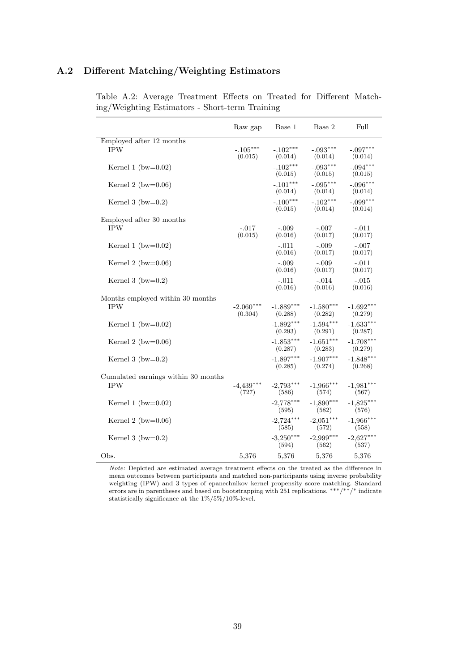## A.2 Different Matching/Weighting Estimators

|                                                   | Raw gap                | Base 1                 | Base 2                 | Full                   |
|---------------------------------------------------|------------------------|------------------------|------------------------|------------------------|
| Employed after 12 months<br><b>IPW</b>            | $-.105***$<br>(0.015)  | $-.102***$<br>(0.014)  | $-.093***$<br>(0.014)  | $-.097***$<br>(0.014)  |
| Kernel 1 (bw= $0.02$ )                            |                        | $-.102***$<br>(0.015)  | $-.093***$<br>(0.015)  | $-.094***$<br>(0.015)  |
| Kernel 2 (bw= $0.06$ )                            |                        | $-.101***$<br>(0.014)  | $-.095***$<br>(0.014)  | $-.096***$<br>(0.014)  |
| Kernel 3 (bw= $0.2$ )                             |                        | $-.100***$<br>(0.015)  | $-.102***$<br>(0.014)  | $-.099***$<br>(0.014)  |
| Employed after 30 months<br><b>IPW</b>            | $-.017$<br>(0.015)     | $-.009$<br>(0.016)     | $-.007$<br>(0.017)     | $-.011$<br>(0.017)     |
| Kernel 1 (bw= $0.02$ )                            |                        | $-.011$<br>(0.016)     | $-.009$<br>(0.017)     | $-.007$<br>(0.017)     |
| Kernel 2 (bw= $0.06$ )                            |                        | $-.009$<br>(0.016)     | $-.009$<br>(0.017)     | $-.011$<br>(0.017)     |
| Kernel 3 (bw= $0.2$ )                             |                        | $-.011$<br>(0.016)     | $-.014$<br>(0.016)     | $-.015$<br>(0.016)     |
| Months employed within 30 months<br><b>IPW</b>    | $-2.060***$<br>(0.304) | $-1.889***$<br>(0.288) | $-1.580***$<br>(0.282) | $-1.692***$<br>(0.279) |
| Kernel 1 (bw= $0.02$ )                            |                        | $-1.892***$<br>(0.293) | $-1.594***$<br>(0.291) | $-1.633***$<br>(0.287) |
| Kernel 2 (bw= $0.06$ )                            |                        | $-1.853***$<br>(0.287) | $-1.651***$<br>(0.283) | $-1.708***$<br>(0.279) |
| Kernel 3 (bw= $0.2$ )                             |                        | $-1.897***$<br>(0.285) | $-1.907***$<br>(0.274) | $-1.848***$<br>(0.268) |
| Cumulated earnings within 30 months<br><b>IPW</b> | $-4,439***$<br>(727)   | $-2,793***$<br>(586)   | $-1,966***$<br>(574)   | $-1,981***$<br>(567)   |
| Kernel 1 (bw= $0.02$ )                            |                        | $-2,778***$<br>(595)   | $-1,890***$<br>(582)   | $-1,825***$<br>(576)   |
| Kernel 2 (bw= $0.06$ )                            |                        | $-2.724***$<br>(585)   | $-2.051***$<br>(572)   | $-1,966***$<br>(558)   |
| Kernel 3 (bw= $0.2$ )                             |                        | $-3.250***$<br>(594)   | $-2,999***$<br>(562)   | $-2,627***$<br>(537)   |
| Obs.                                              | 5,376                  | 5,376                  | 5,376                  | 5,376                  |

Table A.2: Average Treatment Effects on Treated for Different Matching/Weighting Estimators - Short-term Training

Note: Depicted are estimated average treatment effects on the treated as the difference in mean outcomes between participants and matched non-participants using inverse probability weighting (IPW) and 3 types of epanechnikov kernel propensity score matching. Standard errors are in parentheses and based on bootstrapping with 251 replications. \*\*\*/\*\*/\* indicate statistically significance at the  $1\%/5\%/10\%$  level.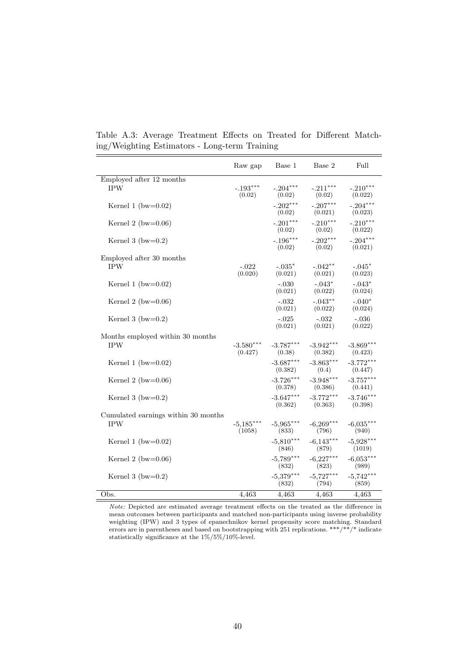|                                        | Raw gap                | Base 1                 | Base 2                 | Full                   |
|----------------------------------------|------------------------|------------------------|------------------------|------------------------|
| Employed after 12 months<br><b>IPW</b> | $-.193***$<br>(0.02)   | $-.204***$<br>(0.02)   | $-.211***$<br>(0.02)   | $-.210***$<br>(0.022)  |
| Kernel 1 (bw= $0.02$ )                 |                        | $-.202***$<br>(0.02)   | $-.207***$<br>(0.021)  | $-.204***$<br>(0.023)  |
| Kernel 2 (bw= $0.06$ )                 |                        | $-.201***$<br>(0.02)   | $-.210***$<br>(0.02)   | $-.210***$<br>(0.022)  |
| Kernel 3 (bw= $0.2$ )                  |                        | $-.196***$<br>(0.02)   | $-.202***$<br>(0.02)   | $-.204***$<br>(0.021)  |
| Employed after 30 months               |                        |                        |                        |                        |
| <b>IPW</b>                             | $-.022$<br>(0.020)     | $-.035*$<br>(0.021)    | $-.042**$<br>(0.021)   | $-.045*$<br>(0.023)    |
| Kernel 1 (bw= $0.02$ )                 |                        | $-.030$<br>(0.021)     | $-.043*$<br>(0.022)    | $-.043*$<br>(0.024)    |
| Kernel 2 (bw= $0.06$ )                 |                        | $-.032$<br>(0.021)     | $-.043***$<br>(0.022)  | $-.040*$<br>(0.024)    |
| Kernel 3 (bw= $0.2$ )                  |                        | $-.025$<br>(0.021)     | $-.032$<br>(0.021)     | $-.036$<br>(0.022)     |
| Months employed within 30 months       |                        |                        |                        |                        |
| <b>IPW</b>                             | $-3.580***$<br>(0.427) | $-3.787***$<br>(0.38)  | $-3.942***$<br>(0.382) | $-3.869***$<br>(0.423) |
| Kernel 1 (bw= $0.02$ )                 |                        | $-3.687***$<br>(0.382) | $-3.863***$<br>(0.4)   | $-3.772***$<br>(0.447) |
| Kernel 2 ( $bw=0.06$ )                 |                        | $-3.726***$<br>(0.378) | $-3.948***$<br>(0.386) | $-3.757***$<br>(0.441) |
| Kernel 3 (bw= $0.2$ )                  |                        | $-3.647***$<br>(0.362) | $-3.772***$<br>(0.363) | $-3.746***$<br>(0.398) |
| Cumulated earnings within 30 months    |                        |                        |                        |                        |
| <b>IPW</b>                             | $-5,185***$<br>(1058)  | $-5.965***$<br>(833)   | $-6.269***$<br>(796)   | $-6.035***$<br>(940)   |
| Kernel 1 (bw= $0.02$ )                 |                        | $-5,810***$<br>(846)   | $-6.143***$<br>(879)   | $-5.928***$<br>(1019)  |
| Kernel 2 (bw= $0.06$ )                 |                        | $-5,789***$<br>(832)   | $-6,227***$<br>(823)   | $-6,053***$<br>(989)   |
| Kernel 3 (bw= $0.2$ )                  |                        | $-5,379***$<br>(832)   | $-5.727***$<br>(794)   | $-5,742***$<br>(859)   |
| Obs.                                   | 4,463                  | 4,463                  | 4,463                  | 4,463                  |

Table A.3: Average Treatment Effects on Treated for Different Matching/Weighting Estimators - Long-term Training

Note: Depicted are estimated average treatment effects on the treated as the difference in mean outcomes between participants and matched non-participants using inverse probability weighting (IPW) and 3 types of epanechnikov kernel propensity score matching. Standard errors are in parentheses and based on bootstrapping with 251 replications. \*\*\*/\*\*/\* indicate statistically significance at the 1%/5%/10%-level.